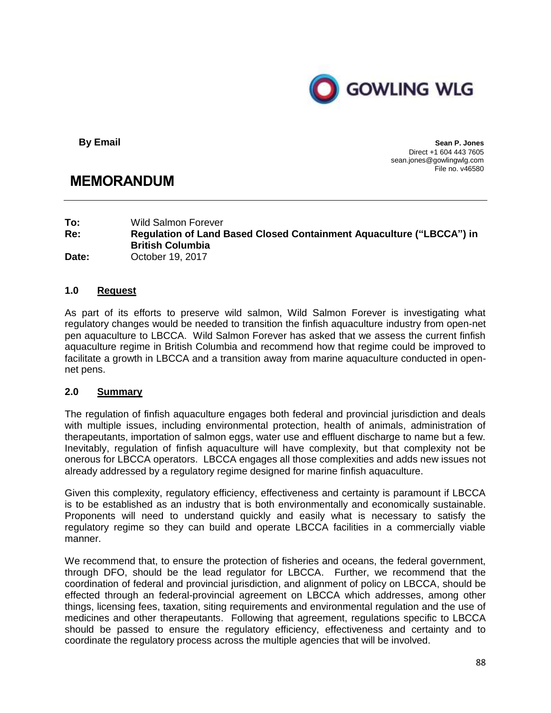

**By Email Sean P. Jones** Direct +1 604 443 7605 sean.jones@gowlingwlg.com File no. v46580

# **MEMORANDUM**

**To:** Wild Salmon Forever **Re: Regulation of Land Based Closed Containment Aquaculture ("LBCCA") in British Columbia Date:** October 19, 2017

## **1.0 Request**

As part of its efforts to preserve wild salmon, Wild Salmon Forever is investigating what regulatory changes would be needed to transition the finfish aquaculture industry from open-net pen aquaculture to LBCCA. Wild Salmon Forever has asked that we assess the current finfish aquaculture regime in British Columbia and recommend how that regime could be improved to facilitate a growth in LBCCA and a transition away from marine aquaculture conducted in opennet pens.

### **2.0 Summary**

The regulation of finfish aquaculture engages both federal and provincial jurisdiction and deals with multiple issues, including environmental protection, health of animals, administration of therapeutants, importation of salmon eggs, water use and effluent discharge to name but a few. Inevitably, regulation of finfish aquaculture will have complexity, but that complexity not be onerous for LBCCA operators. LBCCA engages all those complexities and adds new issues not already addressed by a regulatory regime designed for marine finfish aquaculture.

Given this complexity, regulatory efficiency, effectiveness and certainty is paramount if LBCCA is to be established as an industry that is both environmentally and economically sustainable. Proponents will need to understand quickly and easily what is necessary to satisfy the regulatory regime so they can build and operate LBCCA facilities in a commercially viable manner.

We recommend that, to ensure the protection of fisheries and oceans, the federal government, through DFO, should be the lead regulator for LBCCA. Further, we recommend that the coordination of federal and provincial jurisdiction, and alignment of policy on LBCCA, should be effected through an federal-provincial agreement on LBCCA which addresses, among other things, licensing fees, taxation, siting requirements and environmental regulation and the use of medicines and other therapeutants. Following that agreement, regulations specific to LBCCA should be passed to ensure the regulatory efficiency, effectiveness and certainty and to coordinate the regulatory process across the multiple agencies that will be involved.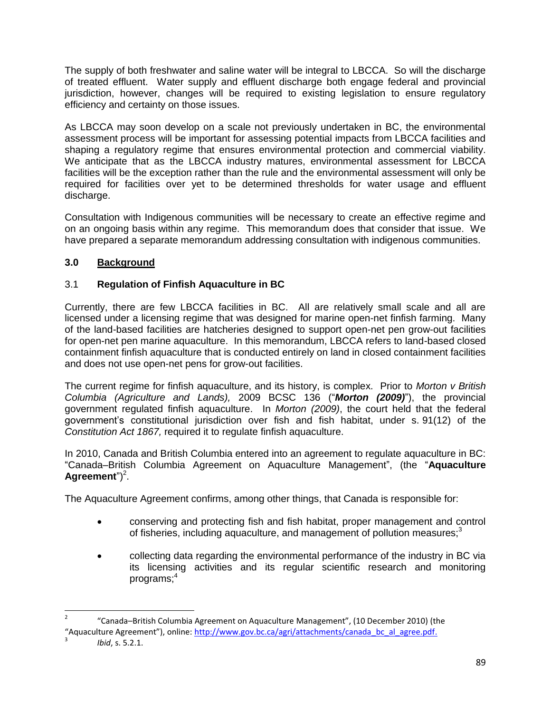The supply of both freshwater and saline water will be integral to LBCCA. So will the discharge of treated effluent. Water supply and effluent discharge both engage federal and provincial jurisdiction, however, changes will be required to existing legislation to ensure regulatory efficiency and certainty on those issues.

As LBCCA may soon develop on a scale not previously undertaken in BC, the environmental assessment process will be important for assessing potential impacts from LBCCA facilities and shaping a regulatory regime that ensures environmental protection and commercial viability. We anticipate that as the LBCCA industry matures, environmental assessment for LBCCA facilities will be the exception rather than the rule and the environmental assessment will only be required for facilities over yet to be determined thresholds for water usage and effluent discharge.

Consultation with Indigenous communities will be necessary to create an effective regime and on an ongoing basis within any regime. This memorandum does that consider that issue. We have prepared a separate memorandum addressing consultation with indigenous communities.

## **3.0 Background**

## 3.1 **Regulation of Finfish Aquaculture in BC**

Currently, there are few LBCCA facilities in BC. All are relatively small scale and all are licensed under a licensing regime that was designed for marine open-net finfish farming. Many of the land-based facilities are hatcheries designed to support open-net pen grow-out facilities for open-net pen marine aquaculture. In this memorandum, LBCCA refers to land-based closed containment finfish aquaculture that is conducted entirely on land in closed containment facilities and does not use open-net pens for grow-out facilities.

The current regime for finfish aquaculture, and its history, is complex. Prior to *Morton v British Columbia (Agriculture and Lands),* 2009 BCSC 136 ("*Morton (2009)*"), the provincial government regulated finfish aquaculture. In *Morton (2009)*, the court held that the federal government's constitutional jurisdiction over fish and fish habitat, under s. 91(12) of the *Constitution Act 1867,* required it to regulate finfish aquaculture.

In 2010, Canada and British Columbia entered into an agreement to regulate aquaculture in BC: "Canada–British Columbia Agreement on Aquaculture Management", (the "**Aquaculture**  Agreement")<sup>2</sup>.

The Aquaculture Agreement confirms, among other things, that Canada is responsible for:

- conserving and protecting fish and fish habitat, proper management and control of fisheries, including aquaculture, and management of pollution measures; $3$
- collecting data regarding the environmental performance of the industry in BC via its licensing activities and its regular scientific research and monitoring programs;<sup>4</sup>

 $\overline{a}$ 

<sup>2</sup> "Canada–British Columbia Agreement on Aquaculture Management", (10 December 2010) (the "Aquaculture Agreement"), online: [http://www.gov.bc.ca/agri/attachments/canada\\_bc\\_al\\_agree.pdf.](http://www.gov.bc.ca/agri/attachments/canada_bc_al_agree.pdf)

<sup>3</sup> *Ibid*, s. 5.2.1.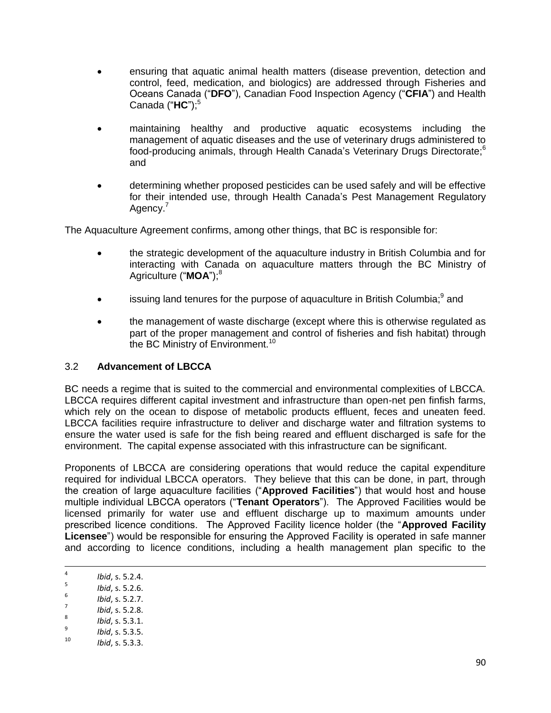- ensuring that aquatic animal health matters (disease prevention, detection and control, feed, medication, and biologics) are addressed through Fisheries and Oceans Canada ("**DFO**"), Canadian Food Inspection Agency ("**CFIA**") and Health Canada ("HC"):<sup>5</sup>
- maintaining healthy and productive aquatic ecosystems including the management of aquatic diseases and the use of veterinary drugs administered to food-producing animals, through Health Canada's Veterinary Drugs Directorate;<sup>6</sup> and
- determining whether proposed pesticides can be used safely and will be effective for their intended use, through Health Canada's Pest Management Regulatory Agency.<sup>7</sup>

The Aquaculture Agreement confirms, among other things, that BC is responsible for:

- the strategic development of the aquaculture industry in British Columbia and for interacting with Canada on aquaculture matters through the BC Ministry of Agriculture ("MOA");<sup>8</sup>
- $\bullet$  issuing land tenures for the purpose of aquaculture in British Columbia;<sup>9</sup> and
- the management of waste discharge (except where this is otherwise regulated as part of the proper management and control of fisheries and fish habitat) through the BC Ministry of Environment.<sup>10</sup>

### 3.2 **Advancement of LBCCA**

BC needs a regime that is suited to the commercial and environmental complexities of LBCCA. LBCCA requires different capital investment and infrastructure than open-net pen finfish farms, which rely on the ocean to dispose of metabolic products effluent, feces and uneaten feed. LBCCA facilities require infrastructure to deliver and discharge water and filtration systems to ensure the water used is safe for the fish being reared and effluent discharged is safe for the environment. The capital expense associated with this infrastructure can be significant.

Proponents of LBCCA are considering operations that would reduce the capital expenditure required for individual LBCCA operators. They believe that this can be done, in part, through the creation of large aquaculture facilities ("**Approved Facilities**") that would host and house multiple individual LBCCA operators ("**Tenant Operators**"). The Approved Facilities would be licensed primarily for water use and effluent discharge up to maximum amounts under prescribed licence conditions. The Approved Facility licence holder (the "**Approved Facility Licensee**") would be responsible for ensuring the Approved Facility is operated in safe manner and according to licence conditions, including a health management plan specific to the

- 6 *Ibid*, s. 5.2.7.
- 7 *Ibid*, s. 5.2.8.

9 *Ibid*, s. 5.3.5.

ــ<br>4 *Ibid*, s. 5.2.4. 5

*Ibid*, s. 5.2.6.

<sup>8</sup> *Ibid*, s. 5.3.1.

<sup>10</sup> *Ibid*, s. 5.3.3.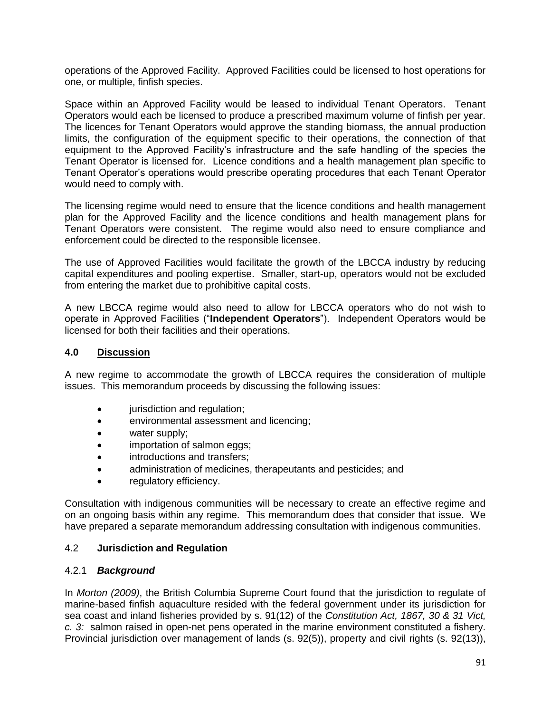operations of the Approved Facility. Approved Facilities could be licensed to host operations for one, or multiple, finfish species.

Space within an Approved Facility would be leased to individual Tenant Operators. Tenant Operators would each be licensed to produce a prescribed maximum volume of finfish per year. The licences for Tenant Operators would approve the standing biomass, the annual production limits, the configuration of the equipment specific to their operations, the connection of that equipment to the Approved Facility's infrastructure and the safe handling of the species the Tenant Operator is licensed for. Licence conditions and a health management plan specific to Tenant Operator's operations would prescribe operating procedures that each Tenant Operator would need to comply with.

The licensing regime would need to ensure that the licence conditions and health management plan for the Approved Facility and the licence conditions and health management plans for Tenant Operators were consistent. The regime would also need to ensure compliance and enforcement could be directed to the responsible licensee.

The use of Approved Facilities would facilitate the growth of the LBCCA industry by reducing capital expenditures and pooling expertise. Smaller, start-up, operators would not be excluded from entering the market due to prohibitive capital costs.

A new LBCCA regime would also need to allow for LBCCA operators who do not wish to operate in Approved Facilities ("**Independent Operators**"). Independent Operators would be licensed for both their facilities and their operations.

#### **4.0 Discussion**

A new regime to accommodate the growth of LBCCA requires the consideration of multiple issues. This memorandum proceeds by discussing the following issues:

- jurisdiction and regulation;
- environmental assessment and licencing;
- water supply;
- importation of salmon eggs;
- introductions and transfers;
- administration of medicines, therapeutants and pesticides; and
- regulatory efficiency.

Consultation with indigenous communities will be necessary to create an effective regime and on an ongoing basis within any regime. This memorandum does that consider that issue. We have prepared a separate memorandum addressing consultation with indigenous communities.

#### 4.2 **Jurisdiction and Regulation**

#### 4.2.1 *Background*

In *Morton (2009)*, the British Columbia Supreme Court found that the jurisdiction to regulate of marine-based finfish aquaculture resided with the federal government under its jurisdiction for sea coast and inland fisheries provided by s. 91(12) of the *Constitution Act, 1867, 30 & 31 Vict, c. 3:* salmon raised in open-net pens operated in the marine environment constituted a fishery. Provincial jurisdiction over management of lands (s. 92(5)), property and civil rights (s. 92(13)),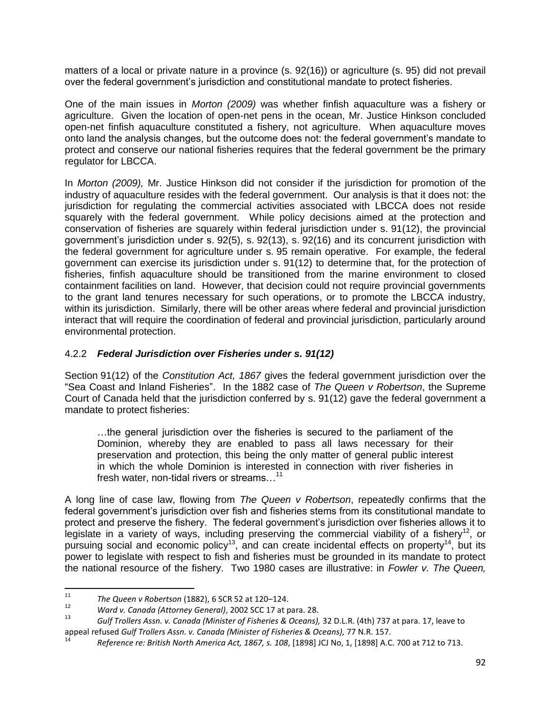matters of a local or private nature in a province (s. 92(16)) or agriculture (s. 95) did not prevail over the federal government's jurisdiction and constitutional mandate to protect fisheries.

One of the main issues in *Morton (2009)* was whether finfish aquaculture was a fishery or agriculture. Given the location of open-net pens in the ocean, Mr. Justice Hinkson concluded open-net finfish aquaculture constituted a fishery, not agriculture. When aquaculture moves onto land the analysis changes, but the outcome does not: the federal government's mandate to protect and conserve our national fisheries requires that the federal government be the primary regulator for LBCCA.

In *Morton (2009),* Mr. Justice Hinkson did not consider if the jurisdiction for promotion of the industry of aquaculture resides with the federal government. Our analysis is that it does not: the jurisdiction for regulating the commercial activities associated with LBCCA does not reside squarely with the federal government. While policy decisions aimed at the protection and conservation of fisheries are squarely within federal jurisdiction under s. 91(12), the provincial government's jurisdiction under s. 92(5), s. 92(13), s. 92(16) and its concurrent jurisdiction with the federal government for agriculture under s. 95 remain operative. For example, the federal government can exercise its jurisdiction under s. 91(12) to determine that, for the protection of fisheries, finfish aquaculture should be transitioned from the marine environment to closed containment facilities on land. However, that decision could not require provincial governments to the grant land tenures necessary for such operations, or to promote the LBCCA industry, within its jurisdiction. Similarly, there will be other areas where federal and provincial jurisdiction interact that will require the coordination of federal and provincial jurisdiction, particularly around environmental protection.

## 4.2.2 *Federal Jurisdiction over Fisheries under s. 91(12)*

Section 91(12) of the *Constitution Act, 1867* gives the federal government jurisdiction over the "Sea Coast and Inland Fisheries". In the 1882 case of *The Queen v Robertson*, the Supreme Court of Canada held that the jurisdiction conferred by s. 91(12) gave the federal government a mandate to protect fisheries:

…the general jurisdiction over the fisheries is secured to the parliament of the Dominion, whereby they are enabled to pass all laws necessary for their preservation and protection, this being the only matter of general public interest in which the whole Dominion is interested in connection with river fisheries in fresh water, non-tidal rivers or streams...<sup>11</sup>

A long line of case law, flowing from *The Queen v Robertson*, repeatedly confirms that the federal government's jurisdiction over fish and fisheries stems from its constitutional mandate to protect and preserve the fishery. The federal government's jurisdiction over fisheries allows it to legislate in a variety of ways, including preserving the commercial viability of a fishery<sup>12</sup>, or pursuing social and economic policy<sup>13</sup>, and can create incidental effects on property<sup>14</sup>, but its power to legislate with respect to fish and fisheries must be grounded in its mandate to protect the national resource of the fishery. Two 1980 cases are illustrative: in *Fowler v. The Queen,* 

 $11\,$ <sup>11</sup> *The Queen v Robertson* (1882), 6 SCR 52 at 120–124.

<sup>12</sup> *Ward v. Canada (Attorney General)*, 2002 SCC 17 at para. 28.

<sup>13</sup> *Gulf Trollers Assn. v. Canada (Minister of Fisheries & Oceans),* 32 D.L.R. (4th) 737 at para. 17, leave to appeal refused *Gulf Trollers Assn. v. Canada (Minister of Fisheries & Oceans),* 77 N.R. 157.

<sup>14</sup> *Reference re: British North America Act, 1867, s. 108*, [1898] JCJ No, 1, [1898] A.C. 700 at 712 to 713.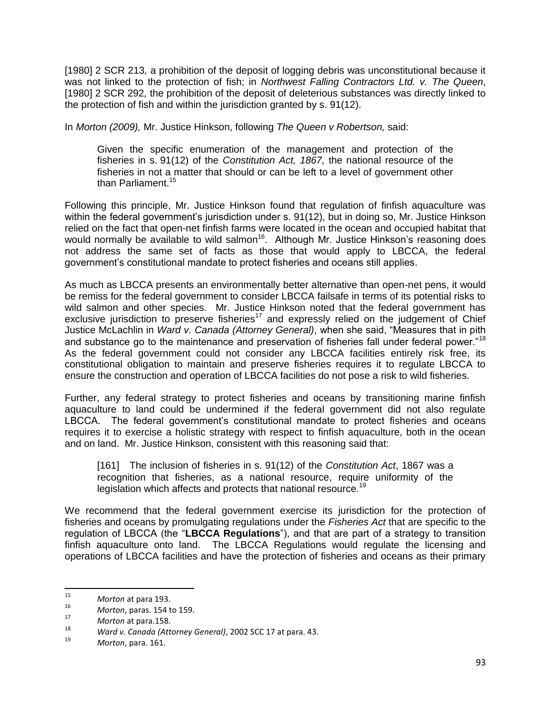[1980] 2 SCR 213*,* a prohibition of the deposit of logging debris was unconstitutional because it was not linked to the protection of fish; in *Northwest Falling Contractors Ltd. v. The Queen*, [1980] 2 SCR 292*,* the prohibition of the deposit of deleterious substances was directly linked to the protection of fish and within the jurisdiction granted by s. 91(12).

In *Morton (2009),* Mr. Justice Hinkson, following *The Queen v Robertson,* said:

Given the specific enumeration of the management and protection of the fisheries in s. [91\(12\)](http://www.canlii.org/en/ca/laws/stat/30---31-vict-c-3/latest/30---31-vict-c-3.html#sec91subsec12_smooth) of the *[Constitution Act, 1867,](http://www.canlii.org/en/ca/laws/stat/30---31-vict-c-3/latest/30---31-vict-c-3.html)* the national resource of the fisheries in not a matter that should or can be left to a level of government other than Parliament.<sup>15</sup>

Following this principle, Mr. Justice Hinkson found that regulation of finfish aquaculture was within the federal government's jurisdiction under s. 91(12), but in doing so, Mr. Justice Hinkson relied on the fact that open-net finfish farms were located in the ocean and occupied habitat that would normally be available to wild salmon<sup>16</sup>. Although Mr. Justice Hinkson's reasoning does not address the same set of facts as those that would apply to LBCCA, the federal government's constitutional mandate to protect fisheries and oceans still applies.

As much as LBCCA presents an environmentally better alternative than open-net pens, it would be remiss for the federal government to consider LBCCA failsafe in terms of its potential risks to wild salmon and other species. Mr. Justice Hinkson noted that the federal government has exclusive jurisdiction to preserve fisheries<sup>17</sup> and expressly relied on the judgement of Chief Justice McLachlin in *Ward v. Canada (Attorney General)*, when she said, "Measures that in pith and substance go to the maintenance and preservation of fisheries fall under federal power."<sup>18</sup> As the federal government could not consider any LBCCA facilities entirely risk free, its constitutional obligation to maintain and preserve fisheries requires it to regulate LBCCA to ensure the construction and operation of LBCCA facilities do not pose a risk to wild fisheries.

Further, any federal strategy to protect fisheries and oceans by transitioning marine finfish aquaculture to land could be undermined if the federal government did not also regulate LBCCA. The federal government's constitutional mandate to protect fisheries and oceans requires it to exercise a holistic strategy with respect to finfish aquaculture, both in the ocean and on land. Mr. Justice Hinkson, consistent with this reasoning said that:

[161] The inclusion of fisheries in s. 91(12) of the *Constitution Act*, 1867 was a recognition that fisheries, as a national resource, require uniformity of the legislation which affects and protects that national resource.<sup>19</sup>

We recommend that the federal government exercise its jurisdiction for the protection of fisheries and oceans by promulgating regulations under the *Fisheries Act* that are specific to the regulation of LBCCA (the "**LBCCA Regulations**"), and that are part of a strategy to transition finfish aquaculture onto land. The LBCCA Regulations would regulate the licensing and operations of LBCCA facilities and have the protection of fisheries and oceans as their primary

<sup>15</sup> *Morton* at para 193.

<sup>16</sup> *Morton*, paras. 154 to 159.

 $\frac{17}{18}$  *Morton* at para.158.

<sup>18</sup> *Ward v. Canada (Attorney General)*, 2002 SCC 17 at para. 43.

<sup>19</sup> *Morton*, para. 161.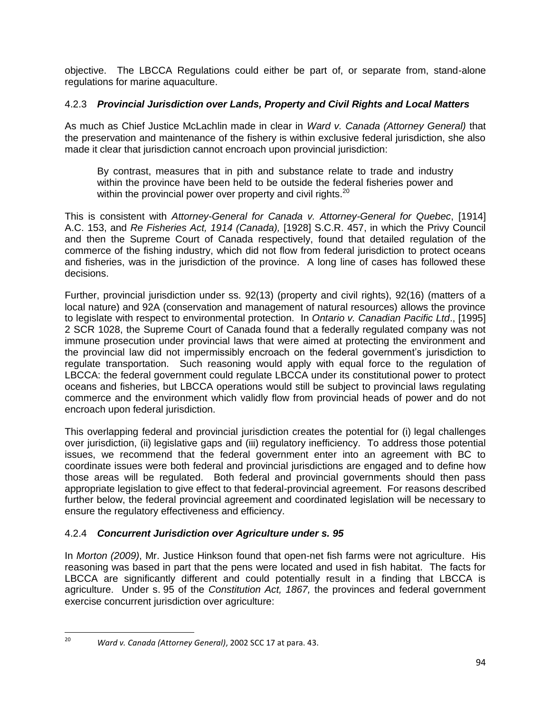objective. The LBCCA Regulations could either be part of, or separate from, stand-alone regulations for marine aquaculture.

## 4.2.3 *Provincial Jurisdiction over Lands, Property and Civil Rights and Local Matters*

As much as Chief Justice McLachlin made in clear in *Ward v. Canada (Attorney General)* that the preservation and maintenance of the fishery is within exclusive federal jurisdiction, she also made it clear that jurisdiction cannot encroach upon provincial jurisdiction:

By contrast, measures that in pith and substance relate to trade and industry within the province have been held to be outside the federal fisheries power and within the provincial power over property and civil rights. $20$ 

This is consistent with *Attorney-General for Canada v. Attorney-General for Quebec*, [1914] A.C. 153, and *Re Fisheries Act, 1914 (Canada),* [1928] S.C.R. 457, in which the Privy Council and then the Supreme Court of Canada respectively, found that detailed regulation of the commerce of the fishing industry, which did not flow from federal jurisdiction to protect oceans and fisheries, was in the jurisdiction of the province. A long line of cases has followed these decisions.

Further, provincial jurisdiction under ss. 92(13) (property and civil rights), 92(16) (matters of a local nature) and 92A (conservation and management of natural resources) allows the province to legislate with respect to environmental protection. In *Ontario v. Canadian Pacific Ltd*., [1995] 2 SCR 1028, the Supreme Court of Canada found that a federally regulated company was not immune prosecution under provincial laws that were aimed at protecting the environment and the provincial law did not impermissibly encroach on the federal government's jurisdiction to regulate transportation. Such reasoning would apply with equal force to the regulation of LBCCA: the federal government could regulate LBCCA under its constitutional power to protect oceans and fisheries, but LBCCA operations would still be subject to provincial laws regulating commerce and the environment which validly flow from provincial heads of power and do not encroach upon federal jurisdiction.

This overlapping federal and provincial jurisdiction creates the potential for (i) legal challenges over jurisdiction, (ii) legislative gaps and (iii) regulatory inefficiency. To address those potential issues, we recommend that the federal government enter into an agreement with BC to coordinate issues were both federal and provincial jurisdictions are engaged and to define how those areas will be regulated. Both federal and provincial governments should then pass appropriate legislation to give effect to that federal-provincial agreement. For reasons described further below, the federal provincial agreement and coordinated legislation will be necessary to ensure the regulatory effectiveness and efficiency.

## 4.2.4 *Concurrent Jurisdiction over Agriculture under s. 95*

In *Morton (2009)*, Mr. Justice Hinkson found that open-net fish farms were not agriculture. His reasoning was based in part that the pens were located and used in fish habitat. The facts for LBCCA are significantly different and could potentially result in a finding that LBCCA is agriculture. Under s. 95 of the *Constitution Act, 1867,* the provinces and federal government exercise concurrent jurisdiction over agriculture:

 $20\,$ <sup>20</sup> *Ward v. Canada (Attorney General)*, 2002 SCC 17 at para. 43.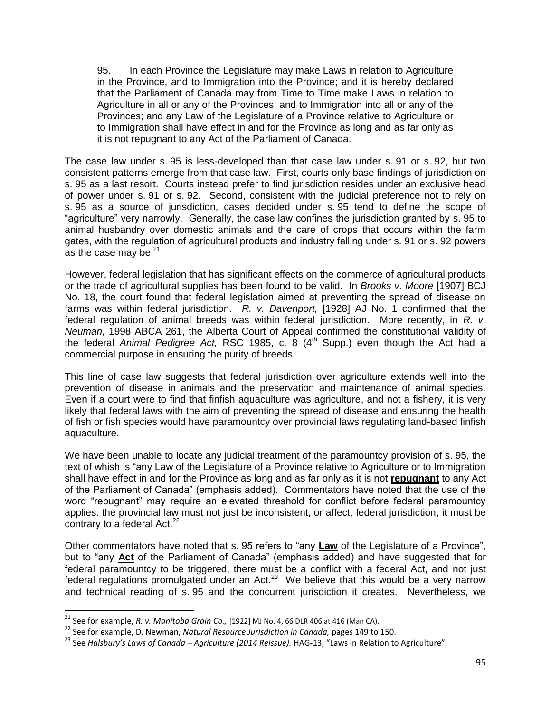95. In each Province the Legislature may make Laws in relation to Agriculture in the Province, and to Immigration into the Province; and it is hereby declared that the Parliament of Canada may from Time to Time make Laws in relation to Agriculture in all or any of the Provinces, and to Immigration into all or any of the Provinces; and any Law of the Legislature of a Province relative to Agriculture or to Immigration shall have effect in and for the Province as long and as far only as it is not repugnant to any Act of the Parliament of Canada.

The case law under s. 95 is less-developed than that case law under s. 91 or s. 92, but two consistent patterns emerge from that case law. First, courts only base findings of jurisdiction on s. 95 as a last resort. Courts instead prefer to find jurisdiction resides under an exclusive head of power under s. 91 or s. 92. Second, consistent with the judicial preference not to rely on s. 95 as a source of jurisdiction, cases decided under s. 95 tend to define the scope of "agriculture" very narrowly. Generally, the case law confines the jurisdiction granted by s. 95 to animal husbandry over domestic animals and the care of crops that occurs within the farm gates, with the regulation of agricultural products and industry falling under s. 91 or s. 92 powers as the case may be.<sup>21</sup>

However, federal legislation that has significant effects on the commerce of agricultural products or the trade of agricultural supplies has been found to be valid. In *Brooks v. Moore* [1907] BCJ No. 18, the court found that federal legislation aimed at preventing the spread of disease on farms was within federal jurisdiction. *R. v. Davenport,* [1928] AJ No. 1 confirmed that the federal regulation of animal breeds was within federal jurisdiction. More recently, in *R. v. Neuman,* 1998 ABCA 261, the Alberta Court of Appeal confirmed the constitutional validity of the federal *Animal Pedigree Act,* RSC 1985, c. 8 (4th Supp.) even though the Act had a commercial purpose in ensuring the purity of breeds.

This line of case law suggests that federal jurisdiction over agriculture extends well into the prevention of disease in animals and the preservation and maintenance of animal species. Even if a court were to find that finfish aquaculture was agriculture, and not a fishery, it is very likely that federal laws with the aim of preventing the spread of disease and ensuring the health of fish or fish species would have paramountcy over provincial laws regulating land-based finfish aquaculture.

We have been unable to locate any judicial treatment of the paramountcy provision of s. 95, the text of whish is "any Law of the Legislature of a Province relative to Agriculture or to Immigration shall have effect in and for the Province as long and as far only as it is not **repugnant** to any Act of the Parliament of Canada" (emphasis added). Commentators have noted that the use of the word "repugnant" may require an elevated threshold for conflict before federal paramountcy applies: the provincial law must not just be inconsistent, or affect, federal jurisdiction, it must be contrary to a federal Act.<sup>22</sup>

Other commentators have noted that s. 95 refers to "any **Law** of the Legislature of a Province", but to "any **Act** of the Parliament of Canada" (emphasis added) and have suggested that for federal paramountcy to be triggered, there must be a conflict with a federal Act, and not just federal regulations promulgated under an Act.<sup>23</sup> We believe that this would be a very narrow and technical reading of s. 95 and the concurrent jurisdiction it creates. Nevertheless, we

 $\overline{a}$ 

<sup>21</sup> See for example, *R. v. Manitoba Grain Co.,* [1922] MJ No. 4, 66 DLR 406 at 416 (Man CA).

<sup>22</sup> See for example, D. Newman, *Natural Resource Jurisdiction in Canada,* pages 149 to 150.

<sup>23</sup> See *Halsbury's Laws of Canada – Agriculture (2014 Reissue),* HAG-13, "Laws in Relation to Agriculture".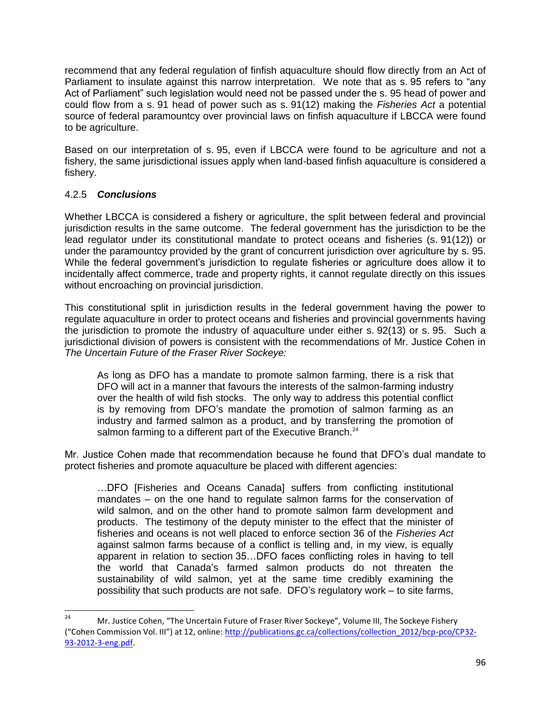recommend that any federal regulation of finfish aquaculture should flow directly from an Act of Parliament to insulate against this narrow interpretation. We note that as s. 95 refers to "any Act of Parliament" such legislation would need not be passed under the s. 95 head of power and could flow from a s. 91 head of power such as s. 91(12) making the *Fisheries Act* a potential source of federal paramountcy over provincial laws on finfish aquaculture if LBCCA were found to be agriculture.

Based on our interpretation of s. 95, even if LBCCA were found to be agriculture and not a fishery, the same jurisdictional issues apply when land-based finfish aquaculture is considered a fishery.

## 4.2.5 *Conclusions*

Whether LBCCA is considered a fishery or agriculture, the split between federal and provincial jurisdiction results in the same outcome. The federal government has the jurisdiction to be the lead regulator under its constitutional mandate to protect oceans and fisheries (s. 91(12)) or under the paramountcy provided by the grant of concurrent jurisdiction over agriculture by s. 95. While the federal government's jurisdiction to regulate fisheries or agriculture does allow it to incidentally affect commerce, trade and property rights, it cannot regulate directly on this issues without encroaching on provincial jurisdiction.

This constitutional split in jurisdiction results in the federal government having the power to regulate aquaculture in order to protect oceans and fisheries and provincial governments having the jurisdiction to promote the industry of aquaculture under either s. 92(13) or s. 95. Such a jurisdictional division of powers is consistent with the recommendations of Mr. Justice Cohen in *The Uncertain Future of the Fraser River Sockeye:*

As long as DFO has a mandate to promote salmon farming, there is a risk that DFO will act in a manner that favours the interests of the salmon-farming industry over the health of wild fish stocks. The only way to address this potential conflict is by removing from DFO's mandate the promotion of salmon farming as an industry and farmed salmon as a product, and by transferring the promotion of salmon farming to a different part of the Executive Branch.<sup>24</sup>

Mr. Justice Cohen made that recommendation because he found that DFO's dual mandate to protect fisheries and promote aquaculture be placed with different agencies:

…DFO [Fisheries and Oceans Canada] suffers from conflicting institutional mandates – on the one hand to regulate salmon farms for the conservation of wild salmon, and on the other hand to promote salmon farm development and products. The testimony of the deputy minister to the effect that the minister of fisheries and oceans is not well placed to enforce section 36 of the *Fisheries Act* against salmon farms because of a conflict is telling and, in my view, is equally apparent in relation to section 35…DFO faces conflicting roles in having to tell the world that Canada's farmed salmon products do not threaten the sustainability of wild salmon, yet at the same time credibly examining the possibility that such products are not safe. DFO's regulatory work – to site farms,

 $24$ Mr. Justice Cohen, "The Uncertain Future of Fraser River Sockeye", Volume III, The Sockeye Fishery ("Cohen Commission Vol. III") at 12, online: [http://publications.gc.ca/collections/collection\\_2012/bcp-pco/CP32-](http://publications.gc.ca/collections/collection_2012/bcp-pco/CP32-93-2012-3-eng.pdf) [93-2012-3-eng.pdf.](http://publications.gc.ca/collections/collection_2012/bcp-pco/CP32-93-2012-3-eng.pdf)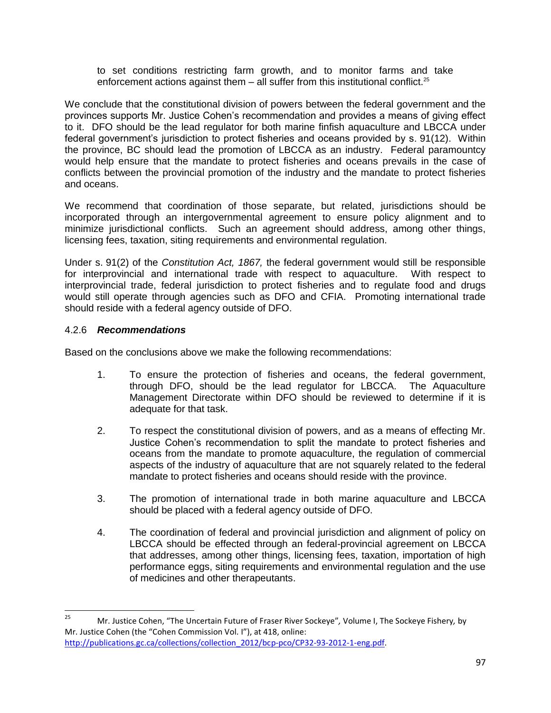to set conditions restricting farm growth, and to monitor farms and take enforcement actions against them  $-$  all suffer from this institutional conflict.<sup>25</sup>

We conclude that the constitutional division of powers between the federal government and the provinces supports Mr. Justice Cohen's recommendation and provides a means of giving effect to it. DFO should be the lead regulator for both marine finfish aquaculture and LBCCA under federal government's jurisdiction to protect fisheries and oceans provided by s. 91(12). Within the province, BC should lead the promotion of LBCCA as an industry. Federal paramountcy would help ensure that the mandate to protect fisheries and oceans prevails in the case of conflicts between the provincial promotion of the industry and the mandate to protect fisheries and oceans.

We recommend that coordination of those separate, but related, jurisdictions should be incorporated through an intergovernmental agreement to ensure policy alignment and to minimize jurisdictional conflicts. Such an agreement should address, among other things, licensing fees, taxation, siting requirements and environmental regulation.

Under s. 91(2) of the *Constitution Act, 1867,* the federal government would still be responsible for interprovincial and international trade with respect to aquaculture. With respect to interprovincial trade, federal jurisdiction to protect fisheries and to regulate food and drugs would still operate through agencies such as DFO and CFIA. Promoting international trade should reside with a federal agency outside of DFO.

## 4.2.6 *Recommendations*

Based on the conclusions above we make the following recommendations:

- 1. To ensure the protection of fisheries and oceans, the federal government, through DFO, should be the lead regulator for LBCCA. The Aquaculture Management Directorate within DFO should be reviewed to determine if it is adequate for that task.
- 2. To respect the constitutional division of powers, and as a means of effecting Mr. Justice Cohen's recommendation to split the mandate to protect fisheries and oceans from the mandate to promote aquaculture, the regulation of commercial aspects of the industry of aquaculture that are not squarely related to the federal mandate to protect fisheries and oceans should reside with the province.
- 3. The promotion of international trade in both marine aquaculture and LBCCA should be placed with a federal agency outside of DFO.
- 4. The coordination of federal and provincial jurisdiction and alignment of policy on LBCCA should be effected through an federal-provincial agreement on LBCCA that addresses, among other things, licensing fees, taxation, importation of high performance eggs, siting requirements and environmental regulation and the use of medicines and other therapeutants.

<sup>25</sup> <sup>25</sup> Mr. Justice Cohen, "The Uncertain Future of Fraser River Sockeye"*,* Volume I, The Sockeye Fishery*,* by Mr. Justice Cohen (the "Cohen Commission Vol. I"), at 418, online: [http://publications.gc.ca/collections/collection\\_2012/bcp-pco/CP32-93-2012-1-eng.pdf.](http://publications.gc.ca/collections/collection_2012/bcp-pco/CP32-93-2012-1-eng.pdf)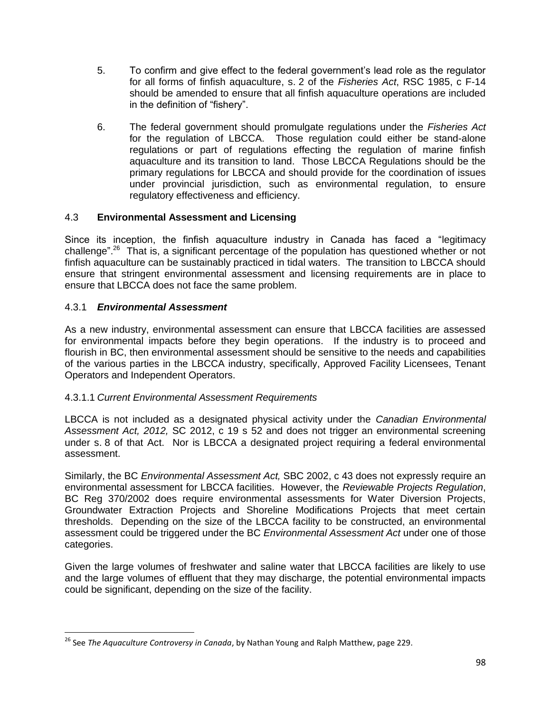- 5. To confirm and give effect to the federal government's lead role as the regulator for all forms of finfish aquaculture, s. 2 of the *Fisheries Act*, RSC 1985, c F-14 should be amended to ensure that all finfish aquaculture operations are included in the definition of "fishery".
- 6. The federal government should promulgate regulations under the *Fisheries Act*  for the regulation of LBCCA. Those regulation could either be stand-alone regulations or part of regulations effecting the regulation of marine finfish aquaculture and its transition to land. Those LBCCA Regulations should be the primary regulations for LBCCA and should provide for the coordination of issues under provincial jurisdiction, such as environmental regulation, to ensure regulatory effectiveness and efficiency.

## 4.3 **Environmental Assessment and Licensing**

Since its inception, the finfish aquaculture industry in Canada has faced a "legitimacy challenge".<sup>26</sup> That is, a significant percentage of the population has questioned whether or not finfish aquaculture can be sustainably practiced in tidal waters. The transition to LBCCA should ensure that stringent environmental assessment and licensing requirements are in place to ensure that LBCCA does not face the same problem.

## 4.3.1 *Environmental Assessment*

 $\overline{\phantom{a}}$ 

As a new industry, environmental assessment can ensure that LBCCA facilities are assessed for environmental impacts before they begin operations. If the industry is to proceed and flourish in BC, then environmental assessment should be sensitive to the needs and capabilities of the various parties in the LBCCA industry, specifically, Approved Facility Licensees, Tenant Operators and Independent Operators.

### 4.3.1.1 *Current Environmental Assessment Requirements*

LBCCA is not included as a designated physical activity under the *Canadian Environmental Assessment Act, 2012,* SC 2012, c 19 s 52 and does not trigger an environmental screening under s. 8 of that Act. Nor is LBCCA a designated project requiring a federal environmental assessment.

Similarly, the BC *Environmental Assessment Act,* SBC 2002, c 43 does not expressly require an environmental assessment for LBCCA facilities. However, the *Reviewable Projects Regulation*, BC Reg 370/2002 does require environmental assessments for Water Diversion Projects, Groundwater Extraction Projects and Shoreline Modifications Projects that meet certain thresholds. Depending on the size of the LBCCA facility to be constructed, an environmental assessment could be triggered under the BC *Environmental Assessment Act* under one of those categories.

Given the large volumes of freshwater and saline water that LBCCA facilities are likely to use and the large volumes of effluent that they may discharge, the potential environmental impacts could be significant, depending on the size of the facility.

<sup>26</sup> See *The Aquaculture Controversy in Canada*, by Nathan Young and Ralph Matthew, page 229.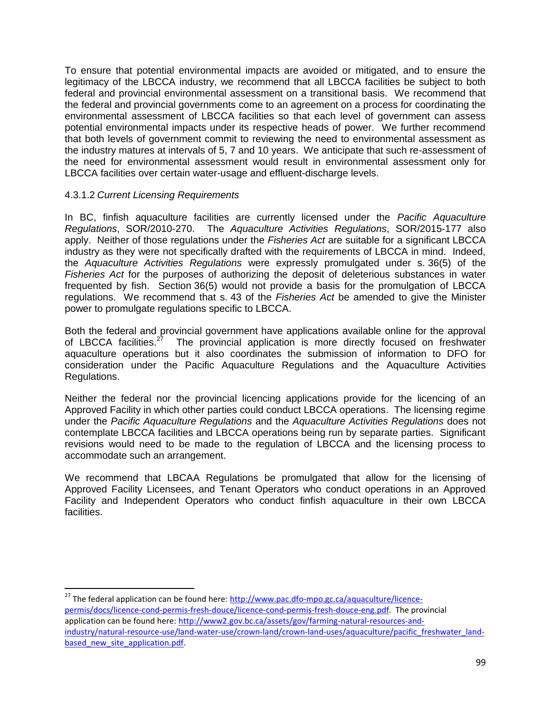To ensure that potential environmental impacts are avoided or mitigated, and to ensure the legitimacy of the LBCCA industry, we recommend that all LBCCA facilities be subject to both federal and provincial environmental assessment on a transitional basis. We recommend that the federal and provincial governments come to an agreement on a process for coordinating the environmental assessment of LBCCA facilities so that each level of government can assess potential environmental impacts under its respective heads of power. We further recommend that both levels of government commit to reviewing the need to environmental assessment as the industry matures at intervals of 5, 7 and 10 years. We anticipate that such re-assessment of the need for environmental assessment would result in environmental assessment only for LBCCA facilities over certain water-usage and effluent-discharge levels.

### 4.3.1.2 *Current Licensing Requirements*

 $\overline{\phantom{a}}$ 

In BC, finfish aquaculture facilities are currently licensed under the *Pacific Aquaculture Regulations*, SOR/2010-270. The *Aquaculture Activities Regulations*, SOR/2015-177 also apply. Neither of those regulations under the *Fisheries Act* are suitable for a significant LBCCA industry as they were not specifically drafted with the requirements of LBCCA in mind. Indeed, the *Aquaculture Activities Regulations* were expressly promulgated under s. 36(5) of the *Fisheries Act* for the purposes of authorizing the deposit of deleterious substances in water frequented by fish. Section 36(5) would not provide a basis for the promulgation of LBCCA regulations. We recommend that s. 43 of the *Fisheries Act* be amended to give the Minister power to promulgate regulations specific to LBCCA.

Both the federal and provincial government have applications available online for the approval of LBCCA facilities.<sup>27</sup> The provincial application is more directly focused on freshwater aquaculture operations but it also coordinates the submission of information to DFO for consideration under the Pacific Aquaculture Regulations and the Aquaculture Activities Regulations.

Neither the federal nor the provincial licencing applications provide for the licencing of an Approved Facility in which other parties could conduct LBCCA operations. The licensing regime under the *Pacific Aquaculture Regulations* and the *Aquaculture Activities Regulations* does not contemplate LBCCA facilities and LBCCA operations being run by separate parties. Significant revisions would need to be made to the regulation of LBCCA and the licensing process to accommodate such an arrangement.

We recommend that LBCAA Regulations be promulgated that allow for the licensing of Approved Facility Licensees, and Tenant Operators who conduct operations in an Approved Facility and Independent Operators who conduct finfish aquaculture in their own LBCCA facilities.

<sup>27</sup> The federal application can be found here[: http://www.pac.dfo-mpo.gc.ca/aquaculture/licence](http://www.pac.dfo-mpo.gc.ca/aquaculture/licence-permis/docs/licence-cond-permis-fresh-douce/licence-cond-permis-fresh-douce-eng.pdf)[permis/docs/licence-cond-permis-fresh-douce/licence-cond-permis-fresh-douce-eng.pdf.](http://www.pac.dfo-mpo.gc.ca/aquaculture/licence-permis/docs/licence-cond-permis-fresh-douce/licence-cond-permis-fresh-douce-eng.pdf) The provincial application can be found here: [http://www2.gov.bc.ca/assets/gov/farming-natural-resources-and](http://www2.gov.bc.ca/assets/gov/farming-natural-resources-and-industry/natural-resource-use/land-water-use/crown-land/crown-land-uses/aquaculture/pacific_freshwater_land-based_new_site_application.pdf)[industry/natural-resource-use/land-water-use/crown-land/crown-land-uses/aquaculture/pacific\\_freshwater\\_land](http://www2.gov.bc.ca/assets/gov/farming-natural-resources-and-industry/natural-resource-use/land-water-use/crown-land/crown-land-uses/aquaculture/pacific_freshwater_land-based_new_site_application.pdf)based new site application.pdf.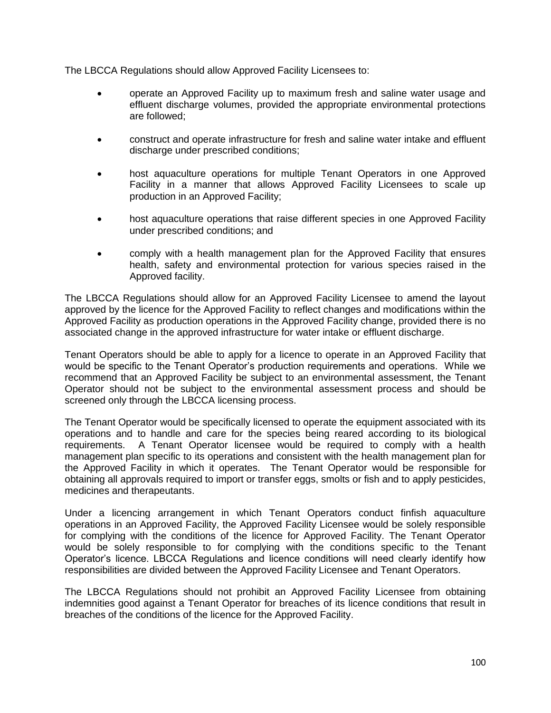The LBCCA Regulations should allow Approved Facility Licensees to:

- operate an Approved Facility up to maximum fresh and saline water usage and effluent discharge volumes, provided the appropriate environmental protections are followed;
- construct and operate infrastructure for fresh and saline water intake and effluent discharge under prescribed conditions;
- host aquaculture operations for multiple Tenant Operators in one Approved Facility in a manner that allows Approved Facility Licensees to scale up production in an Approved Facility;
- host aquaculture operations that raise different species in one Approved Facility under prescribed conditions; and
- comply with a health management plan for the Approved Facility that ensures health, safety and environmental protection for various species raised in the Approved facility.

The LBCCA Regulations should allow for an Approved Facility Licensee to amend the layout approved by the licence for the Approved Facility to reflect changes and modifications within the Approved Facility as production operations in the Approved Facility change, provided there is no associated change in the approved infrastructure for water intake or effluent discharge.

Tenant Operators should be able to apply for a licence to operate in an Approved Facility that would be specific to the Tenant Operator's production requirements and operations. While we recommend that an Approved Facility be subject to an environmental assessment, the Tenant Operator should not be subject to the environmental assessment process and should be screened only through the LBCCA licensing process.

The Tenant Operator would be specifically licensed to operate the equipment associated with its operations and to handle and care for the species being reared according to its biological requirements. A Tenant Operator licensee would be required to comply with a health management plan specific to its operations and consistent with the health management plan for the Approved Facility in which it operates. The Tenant Operator would be responsible for obtaining all approvals required to import or transfer eggs, smolts or fish and to apply pesticides, medicines and therapeutants.

Under a licencing arrangement in which Tenant Operators conduct finfish aquaculture operations in an Approved Facility, the Approved Facility Licensee would be solely responsible for complying with the conditions of the licence for Approved Facility. The Tenant Operator would be solely responsible to for complying with the conditions specific to the Tenant Operator's licence. LBCCA Regulations and licence conditions will need clearly identify how responsibilities are divided between the Approved Facility Licensee and Tenant Operators.

The LBCCA Regulations should not prohibit an Approved Facility Licensee from obtaining indemnities good against a Tenant Operator for breaches of its licence conditions that result in breaches of the conditions of the licence for the Approved Facility.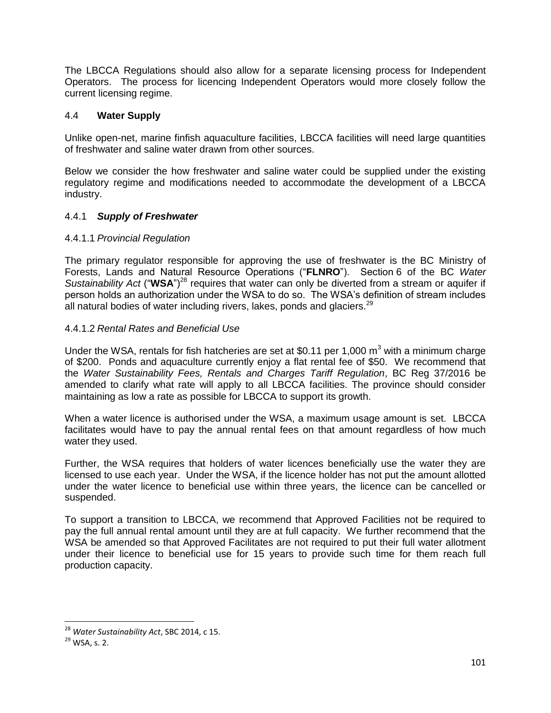The LBCCA Regulations should also allow for a separate licensing process for Independent Operators. The process for licencing Independent Operators would more closely follow the current licensing regime.

#### 4.4 **Water Supply**

Unlike open-net, marine finfish aquaculture facilities, LBCCA facilities will need large quantities of freshwater and saline water drawn from other sources.

Below we consider the how freshwater and saline water could be supplied under the existing regulatory regime and modifications needed to accommodate the development of a LBCCA industry.

#### 4.4.1 *Supply of Freshwater*

#### 4.4.1.1 *Provincial Regulation*

The primary regulator responsible for approving the use of freshwater is the BC Ministry of Forests, Lands and Natural Resource Operations ("**FLNRO**"). Section 6 of the BC *Water*  Sustainability Act ("WSA")<sup>28</sup> requires that water can only be diverted from a stream or aquifer if person holds an authorization under the WSA to do so. The WSA's definition of stream includes all natural bodies of water including rivers, lakes, ponds and glaciers. $^{29}$ 

#### 4.4.1.2 *Rental Rates and Beneficial Use*

Under the WSA, rentals for fish hatcheries are set at \$0.11 per 1,000  $m<sup>3</sup>$  with a minimum charge of \$200. Ponds and aquaculture currently enjoy a flat rental fee of \$50. We recommend that the *Water Sustainability Fees, Rentals and Charges Tariff Regulation*, BC Reg 37/2016 be amended to clarify what rate will apply to all LBCCA facilities. The province should consider maintaining as low a rate as possible for LBCCA to support its growth.

When a water licence is authorised under the WSA, a maximum usage amount is set. LBCCA facilitates would have to pay the annual rental fees on that amount regardless of how much water they used.

Further, the WSA requires that holders of water licences beneficially use the water they are licensed to use each year. Under the WSA, if the licence holder has not put the amount allotted under the water licence to beneficial use within three years, the licence can be cancelled or suspended.

To support a transition to LBCCA, we recommend that Approved Facilities not be required to pay the full annual rental amount until they are at full capacity. We further recommend that the WSA be amended so that Approved Facilitates are not required to put their full water allotment under their licence to beneficial use for 15 years to provide such time for them reach full production capacity.

<sup>28</sup> *Water Sustainability Act*, SBC 2014, c 15.

<sup>29</sup> WSA, s. 2.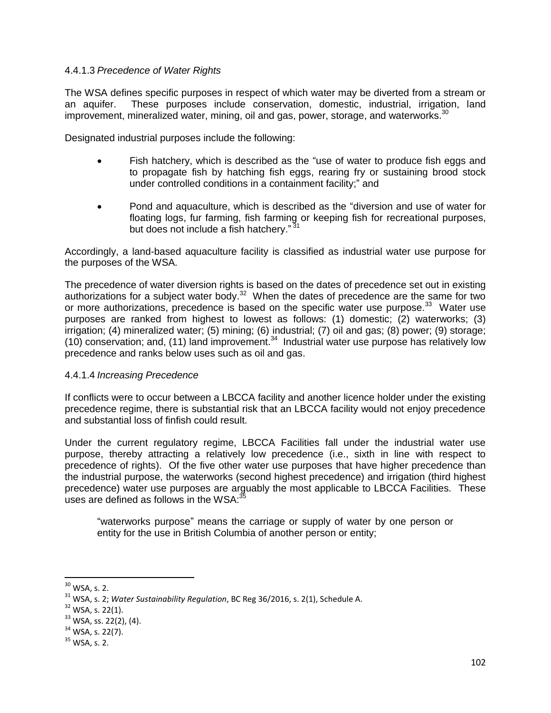#### 4.4.1.3 *Precedence of Water Rights*

The WSA defines specific purposes in respect of which water may be diverted from a stream or an aquifer. These purposes include conservation, domestic, industrial, irrigation, land improvement, mineralized water, mining, oil and gas, power, storage, and waterworks. $30$ 

Designated industrial purposes include the following:

- Fish hatchery, which is described as the "use of water to produce fish eggs and to propagate fish by hatching fish eggs, rearing fry or sustaining brood stock under controlled conditions in a containment facility;" and
- Pond and aquaculture, which is described as the "diversion and use of water for floating logs, fur farming, fish farming or keeping fish for recreational purposes, but does not include a fish hatchery."<sup>31</sup>

Accordingly, a land-based aquaculture facility is classified as industrial water use purpose for the purposes of the WSA.

The precedence of water diversion rights is based on the dates of precedence set out in existing authorizations for a subject water body.<sup>32</sup> When the dates of precedence are the same for two or more authorizations, precedence is based on the specific water use purpose.<sup>33</sup> Water use purposes are ranked from highest to lowest as follows: (1) domestic; (2) waterworks; (3) irrigation; (4) mineralized water; (5) mining; (6) industrial; (7) oil and gas; (8) power; (9) storage; (10) conservation; and, (11) land improvement.<sup>34</sup> Industrial water use purpose has relatively low precedence and ranks below uses such as oil and gas.

#### 4.4.1.4 *Increasing Precedence*

If conflicts were to occur between a LBCCA facility and another licence holder under the existing precedence regime, there is substantial risk that an LBCCA facility would not enjoy precedence and substantial loss of finfish could result.

Under the current regulatory regime, LBCCA Facilities fall under the industrial water use purpose, thereby attracting a relatively low precedence (i.e., sixth in line with respect to precedence of rights). Of the five other water use purposes that have higher precedence than the industrial purpose, the waterworks (second highest precedence) and irrigation (third highest precedence) water use purposes are arguably the most applicable to LBCCA Facilities. These uses are defined as follows in the WSA: $35$ 

"waterworks purpose" means the carriage or supply of water by one person or entity for the use in British Columbia of another person or entity;

l  $30$  WSA, s. 2.

<sup>31</sup> WSA, s. 2; *Water Sustainability Regulation*, BC Reg 36/2016, s. 2(1), Schedule A.

 $32$  WSA, s. 22(1).

<sup>33</sup> WSA, ss. 22(2), (4).

 $34$  WSA, s. 22(7).

 $35$  WSA, s. 2.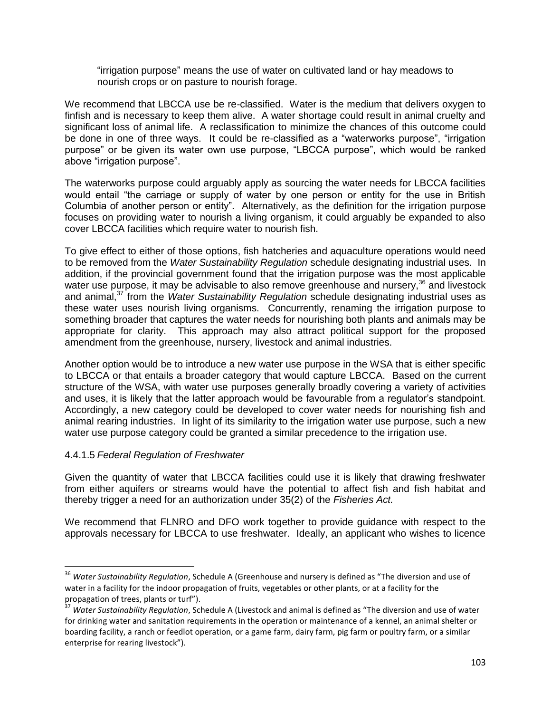"irrigation purpose" means the use of water on cultivated land or hay meadows to nourish crops or on pasture to nourish forage.

We recommend that LBCCA use be re-classified. Water is the medium that delivers oxygen to finfish and is necessary to keep them alive. A water shortage could result in animal cruelty and significant loss of animal life. A reclassification to minimize the chances of this outcome could be done in one of three ways. It could be re-classified as a "waterworks purpose", "irrigation purpose" or be given its water own use purpose, "LBCCA purpose", which would be ranked above "irrigation purpose".

The waterworks purpose could arguably apply as sourcing the water needs for LBCCA facilities would entail "the carriage or supply of water by one person or entity for the use in British Columbia of another person or entity". Alternatively, as the definition for the irrigation purpose focuses on providing water to nourish a living organism, it could arguably be expanded to also cover LBCCA facilities which require water to nourish fish.

To give effect to either of those options, fish hatcheries and aquaculture operations would need to be removed from the *Water Sustainability Regulation* schedule designating industrial uses. In addition, if the provincial government found that the irrigation purpose was the most applicable water use purpose, it may be advisable to also remove greenhouse and nursery,<sup>36</sup> and livestock and animal,<sup>37</sup> from the *Water Sustainability Regulation* schedule designating industrial uses as these water uses nourish living organisms. Concurrently, renaming the irrigation purpose to something broader that captures the water needs for nourishing both plants and animals may be appropriate for clarity. This approach may also attract political support for the proposed amendment from the greenhouse, nursery, livestock and animal industries.

Another option would be to introduce a new water use purpose in the WSA that is either specific to LBCCA or that entails a broader category that would capture LBCCA. Based on the current structure of the WSA, with water use purposes generally broadly covering a variety of activities and uses, it is likely that the latter approach would be favourable from a regulator's standpoint. Accordingly, a new category could be developed to cover water needs for nourishing fish and animal rearing industries. In light of its similarity to the irrigation water use purpose, such a new water use purpose category could be granted a similar precedence to the irrigation use.

### 4.4.1.5 *Federal Regulation of Freshwater*

 $\overline{\phantom{a}}$ 

Given the quantity of water that LBCCA facilities could use it is likely that drawing freshwater from either aquifers or streams would have the potential to affect fish and fish habitat and thereby trigger a need for an authorization under 35(2) of the *Fisheries Act.*

We recommend that FLNRO and DFO work together to provide guidance with respect to the approvals necessary for LBCCA to use freshwater. Ideally, an applicant who wishes to licence

<sup>&</sup>lt;sup>36</sup> Water Sustainability Regulation, Schedule A (Greenhouse and nursery is defined as "The diversion and use of water in a facility for the indoor propagation of fruits, vegetables or other plants, or at a facility for the propagation of trees, plants or turf").

<sup>37</sup> *Water Sustainability Regulation*, Schedule A (Livestock and animal is defined as "The diversion and use of water for drinking water and sanitation requirements in the operation or maintenance of a kennel, an animal shelter or boarding facility, a ranch or feedlot operation, or a game farm, dairy farm, pig farm or poultry farm, or a similar enterprise for rearing livestock").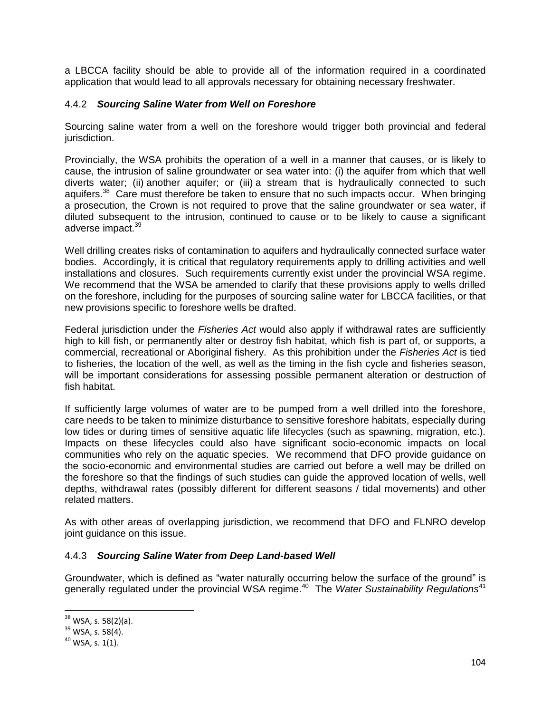a LBCCA facility should be able to provide all of the information required in a coordinated application that would lead to all approvals necessary for obtaining necessary freshwater.

### 4.4.2 *Sourcing Saline Water from Well on Foreshore*

Sourcing saline water from a well on the foreshore would trigger both provincial and federal jurisdiction.

Provincially, the WSA prohibits the operation of a well in a manner that causes, or is likely to cause, the intrusion of saline groundwater or sea water into: (i) the aquifer from which that well diverts water; (ii) another aquifer; or (iii) a stream that is hydraulically connected to such aquifers.<sup>38</sup> Care must therefore be taken to ensure that no such impacts occur. When bringing a prosecution, the Crown is not required to prove that the saline groundwater or sea water, if diluted subsequent to the intrusion, continued to cause or to be likely to cause a significant adverse impact.<sup>39</sup>

Well drilling creates risks of contamination to aquifers and hydraulically connected surface water bodies. Accordingly, it is critical that regulatory requirements apply to drilling activities and well installations and closures. Such requirements currently exist under the provincial WSA regime. We recommend that the WSA be amended to clarify that these provisions apply to wells drilled on the foreshore, including for the purposes of sourcing saline water for LBCCA facilities, or that new provisions specific to foreshore wells be drafted.

Federal jurisdiction under the *Fisheries Act* would also apply if withdrawal rates are sufficiently high to kill fish, or permanently alter or destroy fish habitat, which fish is part of, or supports, a commercial, recreational or Aboriginal fishery. As this prohibition under the *Fisheries Act* is tied to fisheries, the location of the well, as well as the timing in the fish cycle and fisheries season, will be important considerations for assessing possible permanent alteration or destruction of fish habitat.

If sufficiently large volumes of water are to be pumped from a well drilled into the foreshore, care needs to be taken to minimize disturbance to sensitive foreshore habitats, especially during low tides or during times of sensitive aquatic life lifecycles (such as spawning, migration, etc.). Impacts on these lifecycles could also have significant socio-economic impacts on local communities who rely on the aquatic species. We recommend that DFO provide guidance on the socio-economic and environmental studies are carried out before a well may be drilled on the foreshore so that the findings of such studies can guide the approved location of wells, well depths, withdrawal rates (possibly different for different seasons / tidal movements) and other related matters.

As with other areas of overlapping jurisdiction, we recommend that DFO and FLNRO develop joint guidance on this issue.

### 4.4.3 *Sourcing Saline Water from Deep Land-based Well*

Groundwater, which is defined as "water naturally occurring below the surface of the ground" is generally regulated under the provincial WSA regime.<sup>40</sup> The *Water Sustainability Regulations*<sup>41</sup>

 $\overline{a}$ 

 $38$  WSA, s. 58(2)(a).

 $39$  WSA, s. 58(4).

 $40$  WSA, s. 1(1).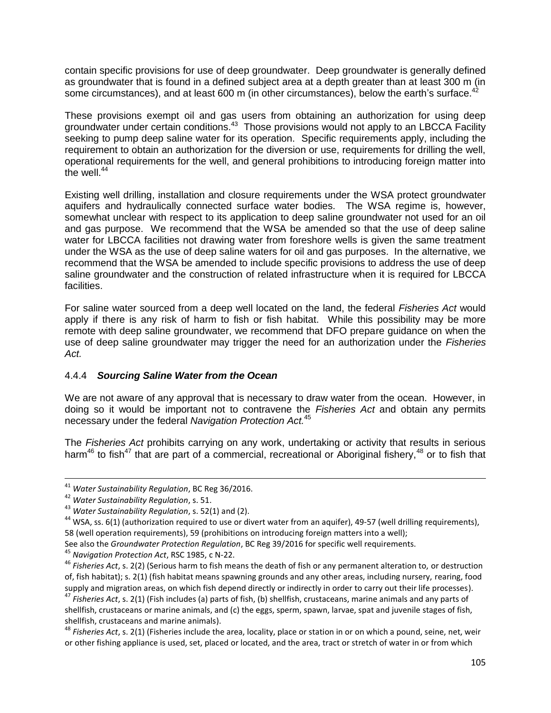contain specific provisions for use of deep groundwater. Deep groundwater is generally defined as groundwater that is found in a defined subject area at a depth greater than at least 300 m (in some circumstances), and at least 600 m (in other circumstances), below the earth's surface.<sup>4</sup>

These provisions exempt oil and gas users from obtaining an authorization for using deep groundwater under certain conditions.<sup>43</sup> Those provisions would not apply to an LBCCA Facility seeking to pump deep saline water for its operation. Specific requirements apply, including the requirement to obtain an authorization for the diversion or use, requirements for drilling the well, operational requirements for the well, and general prohibitions to introducing foreign matter into the well. $44$ 

Existing well drilling, installation and closure requirements under the WSA protect groundwater aquifers and hydraulically connected surface water bodies. The WSA regime is, however, somewhat unclear with respect to its application to deep saline groundwater not used for an oil and gas purpose. We recommend that the WSA be amended so that the use of deep saline water for LBCCA facilities not drawing water from foreshore wells is given the same treatment under the WSA as the use of deep saline waters for oil and gas purposes. In the alternative, we recommend that the WSA be amended to include specific provisions to address the use of deep saline groundwater and the construction of related infrastructure when it is required for LBCCA facilities.

For saline water sourced from a deep well located on the land, the federal *Fisheries Act* would apply if there is any risk of harm to fish or fish habitat. While this possibility may be more remote with deep saline groundwater, we recommend that DFO prepare guidance on when the use of deep saline groundwater may trigger the need for an authorization under the *Fisheries Act.* 

### 4.4.4 *Sourcing Saline Water from the Ocean*

We are not aware of any approval that is necessary to draw water from the ocean. However, in doing so it would be important not to contravene the *Fisheries Act* and obtain any permits necessary under the federal *Navigation Protection Act.* 45

The *Fisheries Act* prohibits carrying on any work, undertaking or activity that results in serious harm<sup>46</sup> to fish<sup>47</sup> that are part of a commercial, recreational or Aboriginal fishery,  $48$  or to fish that

 $\overline{a}$ 

See also the *Groundwater Protection Regulation*, BC Reg 39/2016 for specific well requirements.

<sup>41</sup> *Water Sustainability Regulation*, BC Reg 36/2016.

<sup>42</sup> *Water Sustainability Regulation*, s. 51.

<sup>43</sup> *Water Sustainability Regulation*, s. 52(1) and (2).

<sup>&</sup>lt;sup>44</sup> WSA, ss. 6(1) (authorization required to use or divert water from an aquifer), 49-57 (well drilling requirements), 58 (well operation requirements), 59 (prohibitions on introducing foreign matters into a well);

<sup>45</sup> *Navigation Protection Act*, RSC 1985, c N-22.

<sup>46</sup> *Fisheries Act*, s. 2(2) (Serious harm to fish means the death of fish or any permanent alteration to, or destruction of, fish habitat); s. 2(1) (fish habitat means spawning grounds and any other areas, including nursery, rearing, food supply and migration areas, on which fish depend directly or indirectly in order to carry out their life processes).

<sup>47</sup> *Fisheries Act*, s. 2(1) (Fish includes (a) parts of fish, (b) shellfish, crustaceans, marine animals and any parts of shellfish, crustaceans or marine animals, and (c) the eggs, sperm, spawn, larvae, spat and juvenile stages of fish, shellfish, crustaceans and marine animals).

<sup>48</sup> *Fisheries Act*, s. 2(1) (Fisheries include the area, locality, place or station in or on which a pound, seine, net, weir or other fishing appliance is used, set, placed or located, and the area, tract or stretch of water in or from which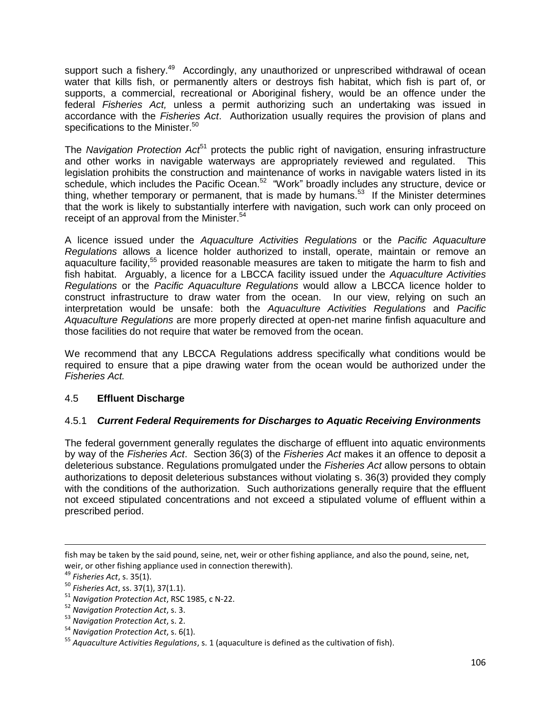support such a fishery.<sup>49</sup> Accordingly, any unauthorized or unprescribed withdrawal of ocean water that kills fish, or permanently alters or destroys fish habitat, which fish is part of, or supports, a commercial, recreational or Aboriginal fishery, would be an offence under the federal *Fisheries Act,* unless a permit authorizing such an undertaking was issued in accordance with the *Fisheries Act*. Authorization usually requires the provision of plans and specifications to the Minister.<sup>50</sup>

The *Navigation Protection Act*<sup>51</sup> protects the public right of navigation, ensuring infrastructure and other works in navigable waterways are appropriately reviewed and regulated. This legislation prohibits the construction and maintenance of works in navigable waters listed in its schedule, which includes the Pacific Ocean.<sup>52</sup> "Work" broadly includes any structure, device or thing, whether temporary or permanent, that is made by humans.<sup>53</sup> If the Minister determines that the work is likely to substantially interfere with navigation, such work can only proceed on receipt of an approval from the Minister.<sup>54</sup>

A licence issued under the *Aquaculture Activities Regulations* or the *Pacific Aquaculture Regulations* allows a licence holder authorized to install, operate, maintain or remove an aquaculture facility,<sup>55</sup> provided reasonable measures are taken to mitigate the harm to fish and fish habitat. Arguably, a licence for a LBCCA facility issued under the *Aquaculture Activities Regulations* or the *Pacific Aquaculture Regulations* would allow a LBCCA licence holder to construct infrastructure to draw water from the ocean. In our view, relying on such an interpretation would be unsafe: both the *Aquaculture Activities Regulations* and *Pacific Aquaculture Regulations* are more properly directed at open-net marine finfish aquaculture and those facilities do not require that water be removed from the ocean.

We recommend that any LBCCA Regulations address specifically what conditions would be required to ensure that a pipe drawing water from the ocean would be authorized under the *Fisheries Act.*

## 4.5 **Effluent Discharge**

## 4.5.1 *Current Federal Requirements for Discharges to Aquatic Receiving Environments*

The federal government generally regulates the discharge of effluent into aquatic environments by way of the *Fisheries Act*. Section 36(3) of the *Fisheries Act* makes it an offence to deposit a deleterious substance. Regulations promulgated under the *Fisheries Act* allow persons to obtain authorizations to deposit deleterious substances without violating s. 36(3) provided they comply with the conditions of the authorization. Such authorizations generally require that the effluent not exceed stipulated concentrations and not exceed a stipulated volume of effluent within a prescribed period.

fish may be taken by the said pound, seine, net, weir or other fishing appliance, and also the pound, seine, net, weir, or other fishing appliance used in connection therewith).

<sup>49</sup> *Fisheries Act*, s. 35(1).

<sup>50</sup> *Fisheries Act*, ss. 37(1), 37(1.1).

<sup>51</sup> *Navigation Protection Act*, RSC 1985, c N-22.

<sup>52</sup> *Navigation Protection Act*, s. 3.

<sup>53</sup> *Navigation Protection Act*, s. 2.

<sup>54</sup> *Navigation Protection Act*, s. 6(1).

<sup>55</sup> *Aquaculture Activities Regulations*, s. 1 (aquaculture is defined as the cultivation of fish).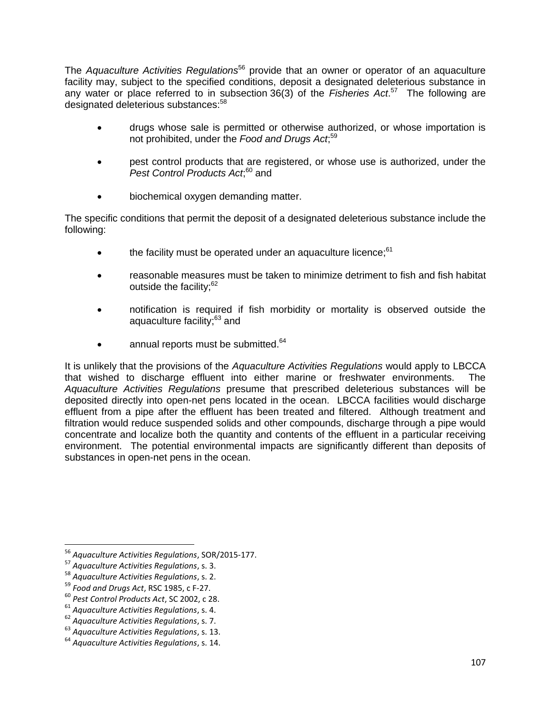The *Aquaculture Activities Regulations*<sup>56</sup> provide that an owner or operator of an aquaculture facility may, subject to the specified conditions, deposit a designated deleterious substance in any water or place referred to in subsection 36(3) of the *Fisheries Act*. <sup>57</sup> The following are designated deleterious substances:<sup>58</sup>

- drugs whose sale is permitted or otherwise authorized, or whose importation is not prohibited, under the *Food and Drugs Act*; 59
- pest control products that are registered, or whose use is authorized, under the Pest Control Products Act;<sup>60</sup> and
- biochemical oxygen demanding matter.

The specific conditions that permit the deposit of a designated deleterious substance include the following:

- $\bullet$  the facility must be operated under an aquaculture licence;  $61$
- reasonable measures must be taken to minimize detriment to fish and fish habitat outside the facility; $62$
- notification is required if fish morbidity or mortality is observed outside the aquaculture facility;<sup>63</sup> and
- $\bullet$  annual reports must be submitted.  $64$

It is unlikely that the provisions of the *Aquaculture Activities Regulations* would apply to LBCCA that wished to discharge effluent into either marine or freshwater environments. The *Aquaculture Activities Regulations* presume that prescribed deleterious substances will be deposited directly into open-net pens located in the ocean. LBCCA facilities would discharge effluent from a pipe after the effluent has been treated and filtered. Although treatment and filtration would reduce suspended solids and other compounds, discharge through a pipe would concentrate and localize both the quantity and contents of the effluent in a particular receiving environment. The potential environmental impacts are significantly different than deposits of substances in open-net pens in the ocean.

<sup>56</sup> *Aquaculture Activities Regulations*, SOR/2015-177.

<sup>57</sup> *Aquaculture Activities Regulations*, s. 3.

<sup>58</sup> *Aquaculture Activities Regulations*, s. 2.

<sup>59</sup> *Food and Drugs Act*, RSC 1985, c F-27.

<sup>60</sup> *Pest Control Products Act*, SC 2002, c 28.

<sup>61</sup> *Aquaculture Activities Regulations*, s. 4.

<sup>62</sup> *Aquaculture Activities Regulations*, s. 7.

<sup>63</sup> *Aquaculture Activities Regulations*, s. 13.

<sup>64</sup> *Aquaculture Activities Regulations*, s. 14.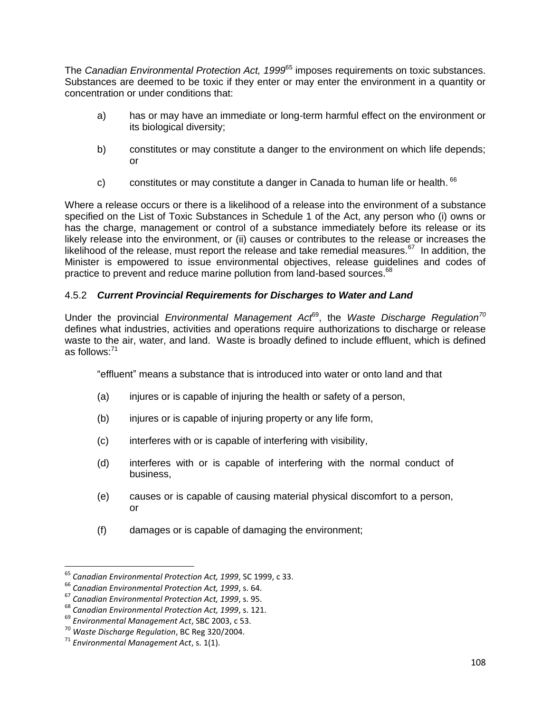The *Canadian Environmental Protection Act, 1999*<sup>65</sup> imposes requirements on toxic substances. Substances are deemed to be toxic if they enter or may enter the environment in a quantity or concentration or under conditions that:

- a) has or may have an immediate or long-term harmful effect on the environment or its biological diversity;
- b) constitutes or may constitute a danger to the environment on which life depends; or
- c) constitutes or may constitute a danger in Canada to human life or health.  $66$

Where a release occurs or there is a likelihood of a release into the environment of a substance specified on the List of Toxic Substances in Schedule 1 of the Act, any person who (i) owns or has the charge, management or control of a substance immediately before its release or its likely release into the environment, or (ii) causes or contributes to the release or increases the likelihood of the release, must report the release and take remedial measures.<sup>67</sup> In addition, the Minister is empowered to issue environmental objectives, release guidelines and codes of practice to prevent and reduce marine pollution from land-based sources.<sup>68</sup>

## 4.5.2 *Current Provincial Requirements for Discharges to Water and Land*

Under the provincial *Environmental Management Act*<sup>69</sup>, the *Waste Discharge Regulation<sup>70</sup>* defines what industries, activities and operations require authorizations to discharge or release waste to the air, water, and land. Waste is broadly defined to include effluent, which is defined as follows:<sup>71</sup>

"effluent" means a substance that is introduced into water or onto land and that

- (a) injures or is capable of injuring the health or safety of a person,
- (b) injures or is capable of injuring property or any life form,
- (c) interferes with or is capable of interfering with visibility,
- (d) interferes with or is capable of interfering with the normal conduct of business,
- (e) causes or is capable of causing material physical discomfort to a person, or
- (f) damages or is capable of damaging the environment;

<sup>65</sup> *Canadian Environmental Protection Act, 1999*, SC 1999, c 33.

<sup>66</sup> *Canadian Environmental Protection Act, 1999*, s. 64.

<sup>67</sup> *Canadian Environmental Protection Act, 1999*, s. 95.

<sup>68</sup> *Canadian Environmental Protection Act, 1999*, s. 121.

<sup>69</sup> *Environmental Management Act*, SBC 2003, c 53.

<sup>70</sup> *Waste Discharge Regulation*, BC Reg 320/2004.

<sup>71</sup> *Environmental Management Act*, s. 1(1).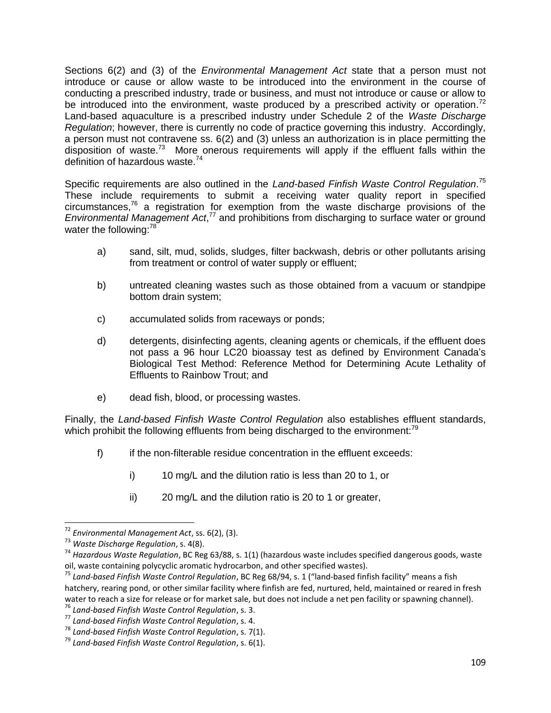Sections 6(2) and (3) of the *Environmental Management Act* state that a person must not introduce or cause or allow waste to be introduced into the environment in the course of conducting a prescribed industry, trade or business, and must not introduce or cause or allow to be introduced into the environment, waste produced by a prescribed activity or operation.<sup>72</sup> Land-based aquaculture is a prescribed industry under Schedule 2 of the *Waste Discharge Regulation*; however, there is currently no code of practice governing this industry. Accordingly, a person must not contravene ss. 6(2) and (3) unless an authorization is in place permitting the disposition of waste.<sup>73</sup> More onerous requirements will apply if the effluent falls within the definition of hazardous waste.<sup>74</sup>

Specific requirements are also outlined in the *Land-based Finfish Waste Control Regulation*. 75 These include requirements to submit a receiving water quality report in specified circumstances, $76$  a registration for exemption from the waste discharge provisions of the Environmental Management Act,<sup>77</sup> and prohibitions from discharging to surface water or ground water the following:<sup>78</sup>

- a) sand, silt, mud, solids, sludges, filter backwash, debris or other pollutants arising from treatment or control of water supply or effluent;
- b) untreated cleaning wastes such as those obtained from a vacuum or standpipe bottom drain system;
- c) accumulated solids from raceways or ponds;
- d) detergents, disinfecting agents, cleaning agents or chemicals, if the effluent does not pass a 96 hour LC20 bioassay test as defined by Environment Canada's Biological Test Method: Reference Method for Determining Acute Lethality of Effluents to Rainbow Trout; and
- e) dead fish, blood, or processing wastes.

Finally, the *Land-based Finfish Waste Control Regulation* also establishes effluent standards, which prohibit the following effluents from being discharged to the environment:<sup>79</sup>

- f) if the non-filterable residue concentration in the effluent exceeds:
	- i) 10 mg/L and the dilution ratio is less than 20 to 1, or
	- ii) 20 mg/L and the dilution ratio is 20 to 1 or greater,

<sup>72</sup> *Environmental Management Act*, ss. 6(2), (3).

<sup>73</sup> *Waste Discharge Regulation*, s. 4(8).

<sup>74</sup> *Hazardous Waste Regulation*, BC Reg 63/88, s. 1(1) (hazardous waste includes specified dangerous goods, waste oil, waste containing polycyclic aromatic hydrocarbon, and other specified wastes).

<sup>75</sup> *Land-based Finfish Waste Control Regulation*, BC Reg 68/94, s. 1 ("land-based finfish facility" means a fish hatchery, rearing pond, or other similar facility where finfish are fed, nurtured, held, maintained or reared in fresh water to reach a size for release or for market sale, but does not include a net pen facility or spawning channel).

<sup>76</sup> *Land-based Finfish Waste Control Regulation*, s. 3.

<sup>77</sup> *Land-based Finfish Waste Control Regulation*, s. 4.

<sup>78</sup> *Land-based Finfish Waste Control Regulation*, s. 7(1).

<sup>79</sup> *Land-based Finfish Waste Control Regulation*, s. 6(1).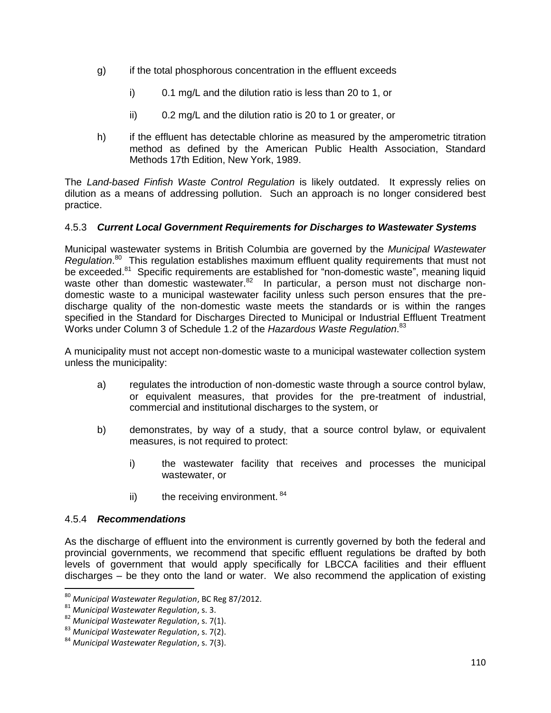- g) if the total phosphorous concentration in the effluent exceeds
	- i) 0.1 mg/L and the dilution ratio is less than 20 to 1, or
	- ii) 0.2 mg/L and the dilution ratio is 20 to 1 or greater, or
- h) if the effluent has detectable chlorine as measured by the amperometric titration method as defined by the American Public Health Association, Standard Methods 17th Edition, New York, 1989.

The *Land-based Finfish Waste Control Regulation* is likely outdated. It expressly relies on dilution as a means of addressing pollution. Such an approach is no longer considered best practice.

### 4.5.3 *Current Local Government Requirements for Discharges to Wastewater Systems*

Municipal wastewater systems in British Columbia are governed by the *Municipal Wastewater Regulation*. <sup>80</sup> This regulation establishes maximum effluent quality requirements that must not be exceeded.<sup>81</sup> Specific requirements are established for "non-domestic waste", meaning liquid waste other than domestic wastewater.<sup>82</sup> In particular, a person must not discharge nondomestic waste to a municipal wastewater facility unless such person ensures that the predischarge quality of the non-domestic waste meets the standards or is within the ranges specified in the Standard for Discharges Directed to Municipal or Industrial Effluent Treatment Works under Column 3 of Schedule 1.2 of the *Hazardous Waste Regulation*. 83

A municipality must not accept non-domestic waste to a municipal wastewater collection system unless the municipality:

- a) regulates the introduction of non-domestic waste through a source control bylaw, or equivalent measures, that provides for the pre-treatment of industrial, commercial and institutional discharges to the system, or
- b) demonstrates, by way of a study, that a source control bylaw, or equivalent measures, is not required to protect:
	- i) the wastewater facility that receives and processes the municipal wastewater, or
	- ii) the receiving environment.  $84$

#### 4.5.4 *Recommendations*

 $\overline{\phantom{a}}$ 

As the discharge of effluent into the environment is currently governed by both the federal and provincial governments, we recommend that specific effluent regulations be drafted by both levels of government that would apply specifically for LBCCA facilities and their effluent discharges – be they onto the land or water. We also recommend the application of existing

<sup>80</sup> *Municipal Wastewater Regulation*, BC Reg 87/2012.

<sup>81</sup> *Municipal Wastewater Regulation*, s. 3.

<sup>82</sup> *Municipal Wastewater Regulation*, s. 7(1).

<sup>83</sup> *Municipal Wastewater Regulation*, s. 7(2).

<sup>84</sup> *Municipal Wastewater Regulation*, s. 7(3).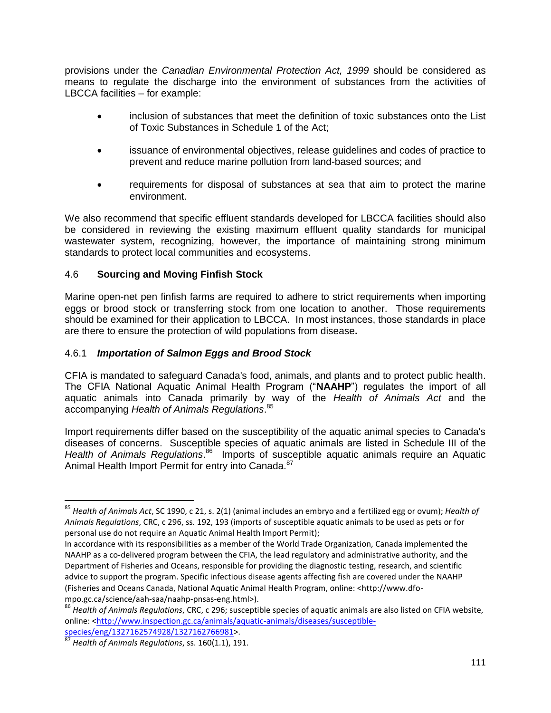provisions under the *Canadian Environmental Protection Act, 1999* should be considered as means to regulate the discharge into the environment of substances from the activities of LBCCA facilities – for example:

- inclusion of substances that meet the definition of toxic substances onto the List of Toxic Substances in Schedule 1 of the Act;
- issuance of environmental objectives, release guidelines and codes of practice to prevent and reduce marine pollution from land-based sources; and
- requirements for disposal of substances at sea that aim to protect the marine environment.

We also recommend that specific effluent standards developed for LBCCA facilities should also be considered in reviewing the existing maximum effluent quality standards for municipal wastewater system, recognizing, however, the importance of maintaining strong minimum standards to protect local communities and ecosystems.

### 4.6 **Sourcing and Moving Finfish Stock**

Marine open-net pen finfish farms are required to adhere to strict requirements when importing eggs or brood stock or transferring stock from one location to another. Those requirements should be examined for their application to LBCCA. In most instances, those standards in place are there to ensure the protection of wild populations from disease**.** 

### 4.6.1 *Importation of Salmon Eggs and Brood Stock*

CFIA is mandated to safeguard Canada's food, animals, and plants and to protect public health. The CFIA National Aquatic Animal Health Program ("**NAAHP**") regulates the import of all aquatic animals into Canada primarily by way of the *Health of Animals Act* and the accompanying *Health of Animals Regulations*. 85

Import requirements differ based on the susceptibility of the aquatic animal species to Canada's diseases of concerns. Susceptible species of aquatic animals are listed in Schedule III of the Health of Animals Regulations.<sup>86</sup> Imports of susceptible aquatic animals require an Aquatic Animal Health Import Permit for entry into Canada.<sup>87</sup>

<sup>85</sup> *Health of Animals Act*, SC 1990, c 21, s. 2(1) (animal includes an embryo and a fertilized egg or ovum); *Health of Animals Regulations*, CRC, c 296, ss. 192, 193 (imports of susceptible aquatic animals to be used as pets or for personal use do not require an Aquatic Animal Health Import Permit);

In accordance with its responsibilities as a member of the World Trade Organization, Canada implemented the NAAHP as a co-delivered program between the CFIA, the lead regulatory and administrative authority, and the Department of Fisheries and Oceans, responsible for providing the diagnostic testing, research, and scientific advice to support the program. Specific infectious disease agents affecting fish are covered under the NAAHP (Fisheries and Oceans Canada, National Aquatic Animal Health Program, online: <http://www.dfompo.gc.ca/science/aah-saa/naahp-pnsas-eng.html>).

<sup>86</sup> *Health of Animals Regulations*, CRC, c 296; susceptible species of aquatic animals are also listed on CFIA website, online: [<http://www.inspection.gc.ca/animals/aquatic-animals/diseases/susceptible](http://www.inspection.gc.ca/animals/aquatic-animals/diseases/susceptible-species/eng/1327162574928/1327162766981)[species/eng/1327162574928/1327162766981>](http://www.inspection.gc.ca/animals/aquatic-animals/diseases/susceptible-species/eng/1327162574928/1327162766981).

<sup>87</sup> *Health of Animals Regulations*, ss. 160(1.1), 191.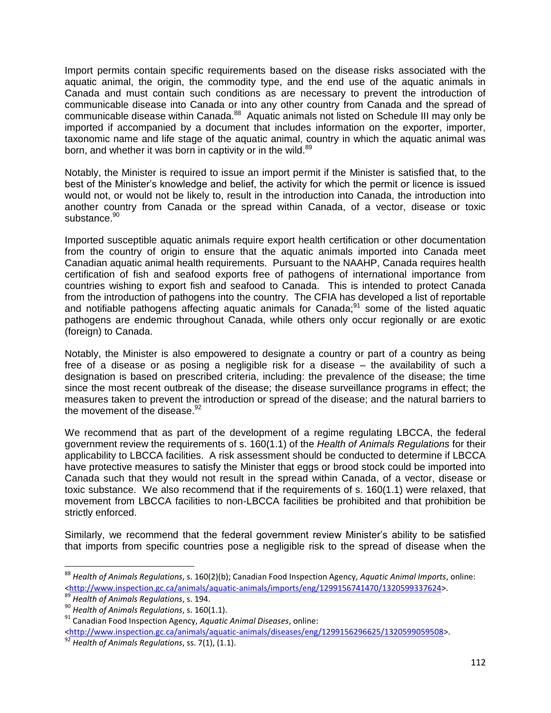Import permits contain specific requirements based on the disease risks associated with the aquatic animal, the origin, the commodity type, and the end use of the aquatic animals in Canada and must contain such conditions as are necessary to prevent the introduction of communicable disease into Canada or into any other country from Canada and the spread of communicable disease within Canada.<sup>88</sup> Aquatic animals not listed on Schedule III may only be imported if accompanied by a document that includes information on the exporter, importer, taxonomic name and life stage of the aquatic animal, country in which the aquatic animal was born, and whether it was born in captivity or in the wild.<sup>89</sup>

Notably, the Minister is required to issue an import permit if the Minister is satisfied that, to the best of the Minister's knowledge and belief, the activity for which the permit or licence is issued would not, or would not be likely to, result in the introduction into Canada, the introduction into another country from Canada or the spread within Canada, of a vector, disease or toxic substance.<sup>90</sup>

Imported susceptible aquatic animals require export health certification or other documentation from the country of origin to ensure that the aquatic animals imported into Canada meet Canadian aquatic animal health requirements. Pursuant to the NAAHP, Canada requires health certification of fish and seafood exports free of pathogens of international importance from countries wishing to export fish and seafood to Canada. This is intended to protect Canada from the introduction of pathogens into the country. The CFIA has developed a list of reportable and notifiable pathogens affecting aquatic animals for Canada;<sup>91</sup> some of the listed aquatic pathogens are endemic throughout Canada, while others only occur regionally or are exotic (foreign) to Canada.

Notably, the Minister is also empowered to designate a country or part of a country as being free of a disease or as posing a negligible risk for a disease – the availability of such a designation is based on prescribed criteria, including: the prevalence of the disease; the time since the most recent outbreak of the disease; the disease surveillance programs in effect; the measures taken to prevent the introduction or spread of the disease; and the natural barriers to the movement of the disease. $92$ 

We recommend that as part of the development of a regime regulating LBCCA, the federal government review the requirements of s. 160(1.1) of the *Health of Animals Regulations* for their applicability to LBCCA facilities. A risk assessment should be conducted to determine if LBCCA have protective measures to satisfy the Minister that eggs or brood stock could be imported into Canada such that they would not result in the spread within Canada, of a vector, disease or toxic substance. We also recommend that if the requirements of s. 160(1.1) were relaxed, that movement from LBCCA facilities to non-LBCCA facilities be prohibited and that prohibition be strictly enforced.

Similarly, we recommend that the federal government review Minister's ability to be satisfied that imports from specific countries pose a negligible risk to the spread of disease when the

<sup>88</sup> *Health of Animals Regulations*, s. 160(2)(b); Canadian Food Inspection Agency, *Aquatic Animal Imports*, online: [<http://www.inspection.gc.ca/animals/aquatic-animals/imports/eng/1299156741470/1320599337624>](http://www.inspection.gc.ca/animals/aquatic-animals/imports/eng/1299156741470/1320599337624).

<sup>89</sup> *Health of Animals Regulations*, s. 194.

<sup>90</sup> *Health of Animals Regulations*, s. 160(1.1).

<sup>91</sup> Canadian Food Inspection Agency, *Aquatic Animal Diseases*, online: [<http://www.inspection.gc.ca/animals/aquatic-animals/diseases/eng/1299156296625/1320599059508>](http://www.inspection.gc.ca/animals/aquatic-animals/diseases/eng/1299156296625/1320599059508).

<sup>92</sup> *Health of Animals Regulations*, ss. 7(1), (1.1).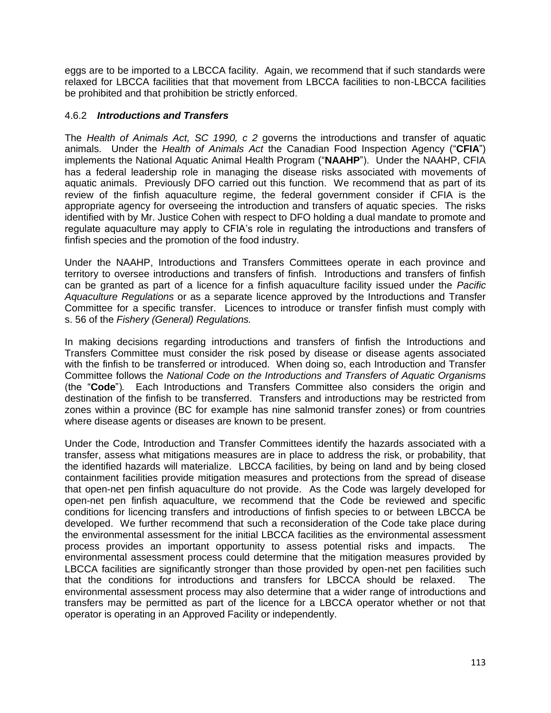eggs are to be imported to a LBCCA facility. Again, we recommend that if such standards were relaxed for LBCCA facilities that that movement from LBCCA facilities to non-LBCCA facilities be prohibited and that prohibition be strictly enforced.

### 4.6.2 *Introductions and Transfers*

The *Health of Animals Act, SC 1990, c 2* governs the introductions and transfer of aquatic animals. Under the *Health of Animals Act* the Canadian Food Inspection Agency ("**CFIA**") implements the National Aquatic Animal Health Program ("**NAAHP**"). Under the NAAHP, CFIA has a federal leadership role in managing the disease risks associated with movements of aquatic animals. Previously DFO carried out this function. We recommend that as part of its review of the finfish aquaculture regime, the federal government consider if CFIA is the appropriate agency for overseeing the introduction and transfers of aquatic species. The risks identified with by Mr. Justice Cohen with respect to DFO holding a dual mandate to promote and regulate aquaculture may apply to CFIA's role in regulating the introductions and transfers of finfish species and the promotion of the food industry.

Under the NAAHP, Introductions and Transfers Committees operate in each province and territory to oversee introductions and transfers of finfish. Introductions and transfers of finfish can be granted as part of a licence for a finfish aquaculture facility issued under the *Pacific Aquaculture Regulations* or as a separate licence approved by the Introductions and Transfer Committee for a specific transfer. Licences to introduce or transfer finfish must comply with s. 56 of the *Fishery (General) Regulations.* 

In making decisions regarding introductions and transfers of finfish the Introductions and Transfers Committee must consider the risk posed by disease or disease agents associated with the finfish to be transferred or introduced. When doing so, each Introduction and Transfer Committee follows the *National Code on the Introductions and Transfers of Aquatic Organisms*  (the "**Code**")*.* Each Introductions and Transfers Committee also considers the origin and destination of the finfish to be transferred. Transfers and introductions may be restricted from zones within a province (BC for example has nine salmonid transfer zones) or from countries where disease agents or diseases are known to be present.

Under the Code, Introduction and Transfer Committees identify the hazards associated with a transfer, assess what mitigations measures are in place to address the risk, or probability, that the identified hazards will materialize. LBCCA facilities, by being on land and by being closed containment facilities provide mitigation measures and protections from the spread of disease that open-net pen finfish aquaculture do not provide. As the Code was largely developed for open-net pen finfish aquaculture, we recommend that the Code be reviewed and specific conditions for licencing transfers and introductions of finfish species to or between LBCCA be developed. We further recommend that such a reconsideration of the Code take place during the environmental assessment for the initial LBCCA facilities as the environmental assessment process provides an important opportunity to assess potential risks and impacts. The environmental assessment process could determine that the mitigation measures provided by LBCCA facilities are significantly stronger than those provided by open-net pen facilities such that the conditions for introductions and transfers for LBCCA should be relaxed. The environmental assessment process may also determine that a wider range of introductions and transfers may be permitted as part of the licence for a LBCCA operator whether or not that operator is operating in an Approved Facility or independently.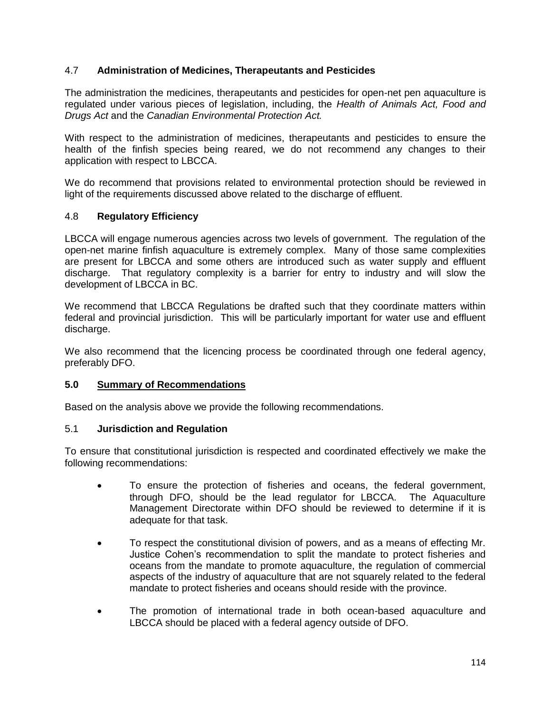## 4.7 **Administration of Medicines, Therapeutants and Pesticides**

The administration the medicines, therapeutants and pesticides for open-net pen aquaculture is regulated under various pieces of legislation, including, the *Health of Animals Act, Food and Drugs Act* and the *Canadian Environmental Protection Act.* 

With respect to the administration of medicines, therapeutants and pesticides to ensure the health of the finfish species being reared, we do not recommend any changes to their application with respect to LBCCA.

We do recommend that provisions related to environmental protection should be reviewed in light of the requirements discussed above related to the discharge of effluent.

### 4.8 **Regulatory Efficiency**

LBCCA will engage numerous agencies across two levels of government. The regulation of the open-net marine finfish aquaculture is extremely complex. Many of those same complexities are present for LBCCA and some others are introduced such as water supply and effluent discharge. That regulatory complexity is a barrier for entry to industry and will slow the development of LBCCA in BC.

We recommend that LBCCA Regulations be drafted such that they coordinate matters within federal and provincial jurisdiction. This will be particularly important for water use and effluent discharge.

We also recommend that the licencing process be coordinated through one federal agency, preferably DFO.

#### **5.0 Summary of Recommendations**

Based on the analysis above we provide the following recommendations.

#### 5.1 **Jurisdiction and Regulation**

To ensure that constitutional jurisdiction is respected and coordinated effectively we make the following recommendations:

- To ensure the protection of fisheries and oceans, the federal government, through DFO, should be the lead regulator for LBCCA. The Aquaculture Management Directorate within DFO should be reviewed to determine if it is adequate for that task.
- To respect the constitutional division of powers, and as a means of effecting Mr. Justice Cohen's recommendation to split the mandate to protect fisheries and oceans from the mandate to promote aquaculture, the regulation of commercial aspects of the industry of aquaculture that are not squarely related to the federal mandate to protect fisheries and oceans should reside with the province.
- The promotion of international trade in both ocean-based aquaculture and LBCCA should be placed with a federal agency outside of DFO.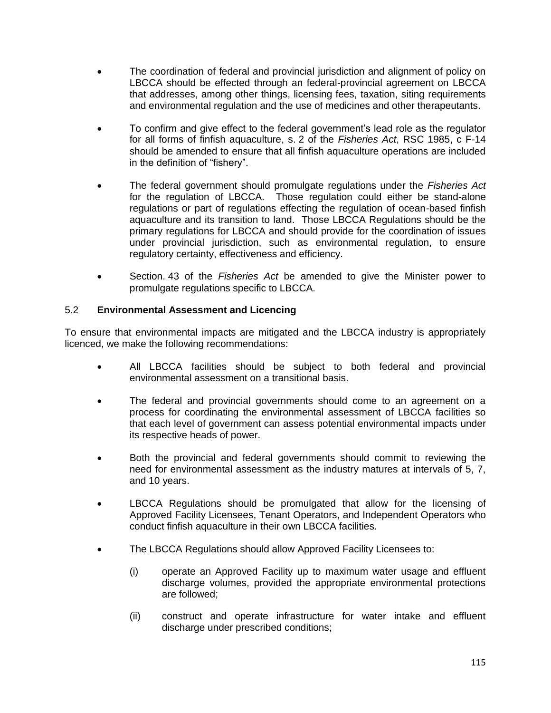- The coordination of federal and provincial jurisdiction and alignment of policy on LBCCA should be effected through an federal-provincial agreement on LBCCA that addresses, among other things, licensing fees, taxation, siting requirements and environmental regulation and the use of medicines and other therapeutants.
- To confirm and give effect to the federal government's lead role as the regulator for all forms of finfish aquaculture, s. 2 of the *Fisheries Act*, RSC 1985, c F-14 should be amended to ensure that all finfish aquaculture operations are included in the definition of "fishery".
- The federal government should promulgate regulations under the *Fisheries Act*  for the regulation of LBCCA. Those regulation could either be stand-alone regulations or part of regulations effecting the regulation of ocean-based finfish aquaculture and its transition to land. Those LBCCA Regulations should be the primary regulations for LBCCA and should provide for the coordination of issues under provincial jurisdiction, such as environmental regulation, to ensure regulatory certainty, effectiveness and efficiency.
- Section. 43 of the *Fisheries Act* be amended to give the Minister power to promulgate regulations specific to LBCCA.

## 5.2 **Environmental Assessment and Licencing**

To ensure that environmental impacts are mitigated and the LBCCA industry is appropriately licenced, we make the following recommendations:

- All LBCCA facilities should be subject to both federal and provincial environmental assessment on a transitional basis.
- The federal and provincial governments should come to an agreement on a process for coordinating the environmental assessment of LBCCA facilities so that each level of government can assess potential environmental impacts under its respective heads of power.
- Both the provincial and federal governments should commit to reviewing the need for environmental assessment as the industry matures at intervals of 5, 7, and 10 years.
- LBCCA Regulations should be promulgated that allow for the licensing of Approved Facility Licensees, Tenant Operators, and Independent Operators who conduct finfish aquaculture in their own LBCCA facilities.
- The LBCCA Regulations should allow Approved Facility Licensees to:
	- (i) operate an Approved Facility up to maximum water usage and effluent discharge volumes, provided the appropriate environmental protections are followed;
	- (ii) construct and operate infrastructure for water intake and effluent discharge under prescribed conditions;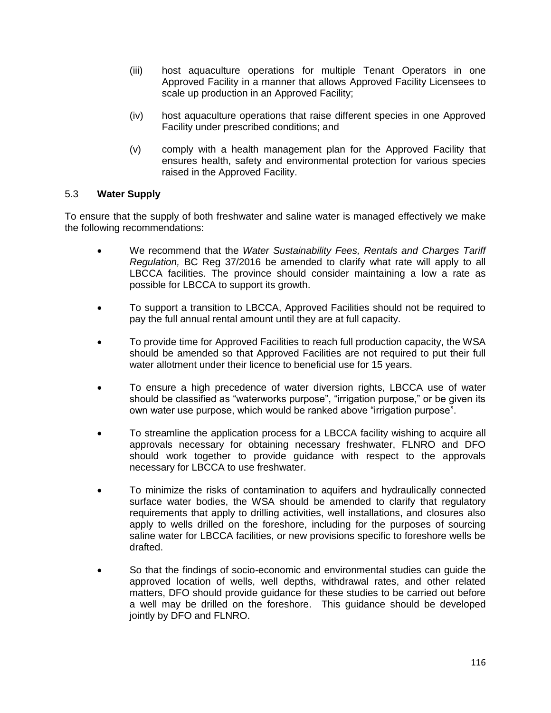- (iii) host aquaculture operations for multiple Tenant Operators in one Approved Facility in a manner that allows Approved Facility Licensees to scale up production in an Approved Facility;
- (iv) host aquaculture operations that raise different species in one Approved Facility under prescribed conditions; and
- (v) comply with a health management plan for the Approved Facility that ensures health, safety and environmental protection for various species raised in the Approved Facility.

#### 5.3 **Water Supply**

To ensure that the supply of both freshwater and saline water is managed effectively we make the following recommendations:

- We recommend that the *Water Sustainability Fees, Rentals and Charges Tariff Regulation,* BC Reg 37/2016 be amended to clarify what rate will apply to all LBCCA facilities. The province should consider maintaining a low a rate as possible for LBCCA to support its growth.
- To support a transition to LBCCA, Approved Facilities should not be required to pay the full annual rental amount until they are at full capacity.
- To provide time for Approved Facilities to reach full production capacity, the WSA should be amended so that Approved Facilities are not required to put their full water allotment under their licence to beneficial use for 15 years.
- To ensure a high precedence of water diversion rights, LBCCA use of water should be classified as "waterworks purpose", "irrigation purpose," or be given its own water use purpose, which would be ranked above "irrigation purpose".
- To streamline the application process for a LBCCA facility wishing to acquire all approvals necessary for obtaining necessary freshwater, FLNRO and DFO should work together to provide guidance with respect to the approvals necessary for LBCCA to use freshwater.
- To minimize the risks of contamination to aquifers and hydraulically connected surface water bodies, the WSA should be amended to clarify that regulatory requirements that apply to drilling activities, well installations, and closures also apply to wells drilled on the foreshore, including for the purposes of sourcing saline water for LBCCA facilities, or new provisions specific to foreshore wells be drafted.
- So that the findings of socio-economic and environmental studies can guide the approved location of wells, well depths, withdrawal rates, and other related matters, DFO should provide guidance for these studies to be carried out before a well may be drilled on the foreshore. This guidance should be developed jointly by DFO and FLNRO.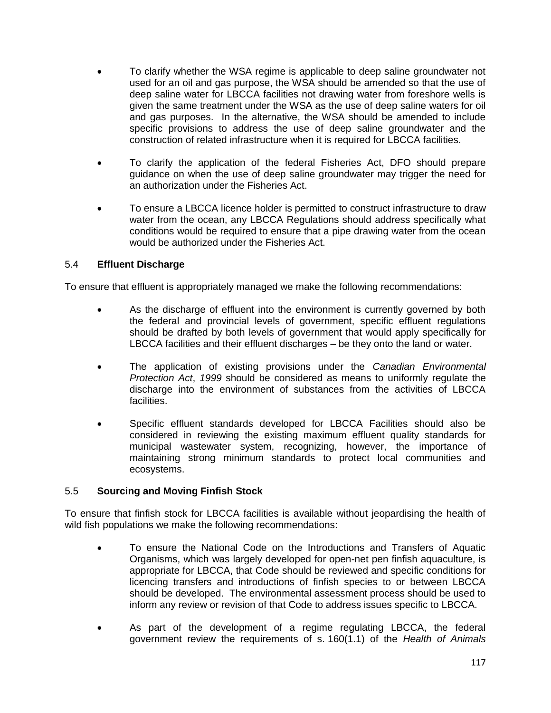- To clarify whether the WSA regime is applicable to deep saline groundwater not used for an oil and gas purpose, the WSA should be amended so that the use of deep saline water for LBCCA facilities not drawing water from foreshore wells is given the same treatment under the WSA as the use of deep saline waters for oil and gas purposes. In the alternative, the WSA should be amended to include specific provisions to address the use of deep saline groundwater and the construction of related infrastructure when it is required for LBCCA facilities.
- To clarify the application of the federal Fisheries Act, DFO should prepare guidance on when the use of deep saline groundwater may trigger the need for an authorization under the Fisheries Act.
- To ensure a LBCCA licence holder is permitted to construct infrastructure to draw water from the ocean, any LBCCA Regulations should address specifically what conditions would be required to ensure that a pipe drawing water from the ocean would be authorized under the Fisheries Act.

## 5.4 **Effluent Discharge**

To ensure that effluent is appropriately managed we make the following recommendations:

- As the discharge of effluent into the environment is currently governed by both the federal and provincial levels of government, specific effluent regulations should be drafted by both levels of government that would apply specifically for LBCCA facilities and their effluent discharges – be they onto the land or water.
- The application of existing provisions under the *Canadian Environmental Protection Act*, *1999* should be considered as means to uniformly regulate the discharge into the environment of substances from the activities of LBCCA facilities.
- Specific effluent standards developed for LBCCA Facilities should also be considered in reviewing the existing maximum effluent quality standards for municipal wastewater system, recognizing, however, the importance of maintaining strong minimum standards to protect local communities and ecosystems.

### 5.5 **Sourcing and Moving Finfish Stock**

To ensure that finfish stock for LBCCA facilities is available without jeopardising the health of wild fish populations we make the following recommendations:

- To ensure the National Code on the Introductions and Transfers of Aquatic Organisms, which was largely developed for open-net pen finfish aquaculture, is appropriate for LBCCA, that Code should be reviewed and specific conditions for licencing transfers and introductions of finfish species to or between LBCCA should be developed. The environmental assessment process should be used to inform any review or revision of that Code to address issues specific to LBCCA.
- As part of the development of a regime regulating LBCCA, the federal government review the requirements of s. 160(1.1) of the *Health of Animals*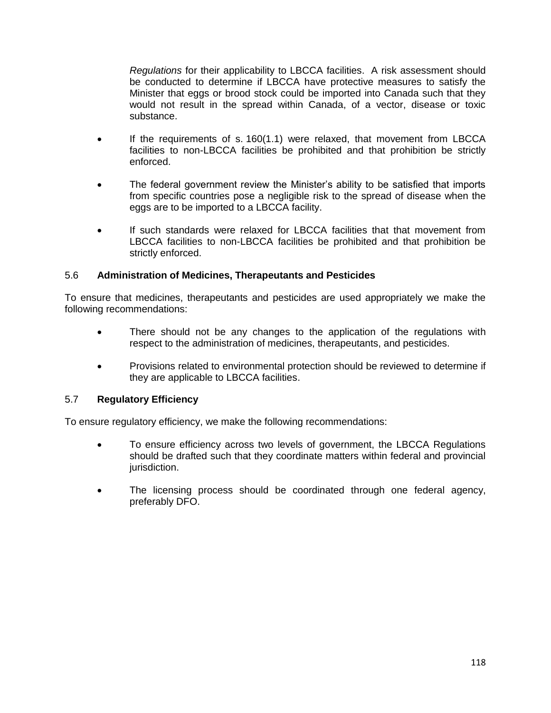*Regulations* for their applicability to LBCCA facilities. A risk assessment should be conducted to determine if LBCCA have protective measures to satisfy the Minister that eggs or brood stock could be imported into Canada such that they would not result in the spread within Canada, of a vector, disease or toxic substance.

- If the requirements of s. 160(1.1) were relaxed, that movement from LBCCA facilities to non-LBCCA facilities be prohibited and that prohibition be strictly enforced.
- The federal government review the Minister's ability to be satisfied that imports from specific countries pose a negligible risk to the spread of disease when the eggs are to be imported to a LBCCA facility.
- If such standards were relaxed for LBCCA facilities that that movement from LBCCA facilities to non-LBCCA facilities be prohibited and that prohibition be strictly enforced.

### 5.6 **Administration of Medicines, Therapeutants and Pesticides**

To ensure that medicines, therapeutants and pesticides are used appropriately we make the following recommendations:

- There should not be any changes to the application of the regulations with respect to the administration of medicines, therapeutants, and pesticides.
- Provisions related to environmental protection should be reviewed to determine if they are applicable to LBCCA facilities.

### 5.7 **Regulatory Efficiency**

To ensure regulatory efficiency, we make the following recommendations:

- To ensure efficiency across two levels of government, the LBCCA Regulations should be drafted such that they coordinate matters within federal and provincial jurisdiction.
- The licensing process should be coordinated through one federal agency, preferably DFO.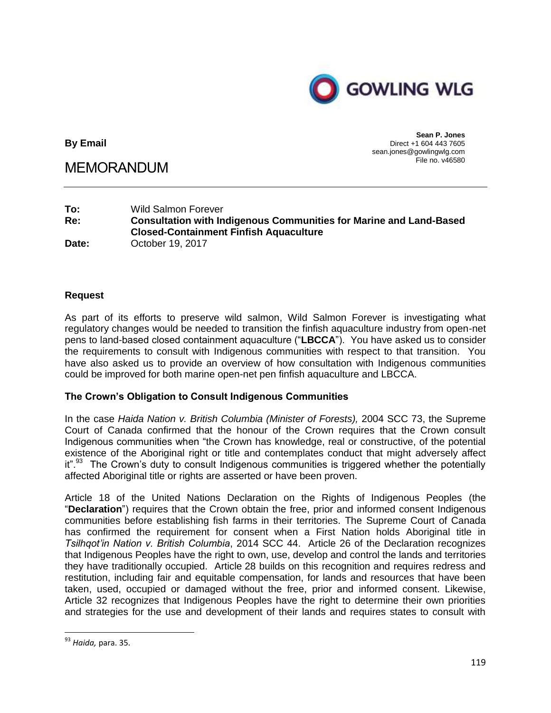

**By Email**

MEMORANDUM

**Sean P. Jones** Direct +1 604 443 7605 sean.jones@gowlingwlg.com File no. v46580

| To:   | <b>Wild Salmon Forever</b>                                                |
|-------|---------------------------------------------------------------------------|
| Re:   | <b>Consultation with Indigenous Communities for Marine and Land-Based</b> |
|       | <b>Closed-Containment Finfish Aquaculture</b>                             |
| Date: | October 19, 2017                                                          |

#### **Request**

As part of its efforts to preserve wild salmon, Wild Salmon Forever is investigating what regulatory changes would be needed to transition the finfish aquaculture industry from open-net pens to land-based closed containment aquaculture ("**LBCCA**"). You have asked us to consider the requirements to consult with Indigenous communities with respect to that transition. You have also asked us to provide an overview of how consultation with Indigenous communities could be improved for both marine open-net pen finfish aquaculture and LBCCA.

#### **The Crown's Obligation to Consult Indigenous Communities**

In the case *Haida Nation v. British Columbia (Minister of Forests),* 2004 SCC 73, the Supreme Court of Canada confirmed that the honour of the Crown requires that the Crown consult Indigenous communities when "the Crown has knowledge, real or constructive, of the potential existence of the Aboriginal right or title and contemplates conduct that might adversely affect it".<sup>93</sup> The Crown's duty to consult Indigenous communities is triggered whether the potentially affected Aboriginal title or rights are asserted or have been proven.

Article 18 of the United Nations Declaration on the Rights of Indigenous Peoples (the "**Declaration**") requires that the Crown obtain the free, prior and informed consent Indigenous communities before establishing fish farms in their territories. The Supreme Court of Canada has confirmed the requirement for consent when a First Nation holds Aboriginal title in *Tsilhqot'in Nation v. British Columbia*, 2014 SCC 44. Article 26 of the Declaration recognizes that Indigenous Peoples have the right to own, use, develop and control the lands and territories they have traditionally occupied. Article 28 builds on this recognition and requires redress and restitution, including fair and equitable compensation, for lands and resources that have been taken, used, occupied or damaged without the free, prior and informed consent. Likewise, Article 32 recognizes that Indigenous Peoples have the right to determine their own priorities and strategies for the use and development of their lands and requires states to consult with

<sup>93</sup> *Haida,* para. 35.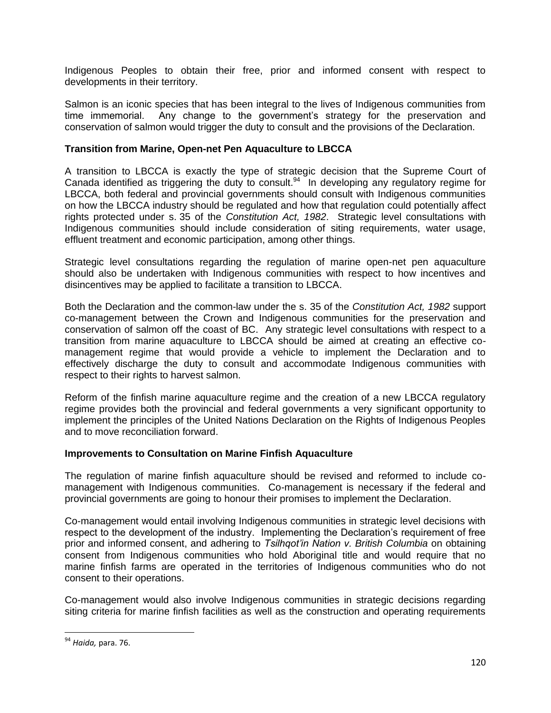Indigenous Peoples to obtain their free, prior and informed consent with respect to developments in their territory.

Salmon is an iconic species that has been integral to the lives of Indigenous communities from time immemorial. Any change to the government's strategy for the preservation and conservation of salmon would trigger the duty to consult and the provisions of the Declaration.

### **Transition from Marine, Open-net Pen Aquaculture to LBCCA**

A transition to LBCCA is exactly the type of strategic decision that the Supreme Court of Canada identified as triggering the duty to consult.<sup>94</sup> In developing any regulatory regime for LBCCA, both federal and provincial governments should consult with Indigenous communities on how the LBCCA industry should be regulated and how that regulation could potentially affect rights protected under s. 35 of the *Constitution Act, 1982*. Strategic level consultations with Indigenous communities should include consideration of siting requirements, water usage, effluent treatment and economic participation, among other things.

Strategic level consultations regarding the regulation of marine open-net pen aquaculture should also be undertaken with Indigenous communities with respect to how incentives and disincentives may be applied to facilitate a transition to LBCCA.

Both the Declaration and the common-law under the s. 35 of the *Constitution Act, 1982* support co-management between the Crown and Indigenous communities for the preservation and conservation of salmon off the coast of BC. Any strategic level consultations with respect to a transition from marine aquaculture to LBCCA should be aimed at creating an effective comanagement regime that would provide a vehicle to implement the Declaration and to effectively discharge the duty to consult and accommodate Indigenous communities with respect to their rights to harvest salmon.

Reform of the finfish marine aquaculture regime and the creation of a new LBCCA regulatory regime provides both the provincial and federal governments a very significant opportunity to implement the principles of the United Nations Declaration on the Rights of Indigenous Peoples and to move reconciliation forward.

#### **Improvements to Consultation on Marine Finfish Aquaculture**

The regulation of marine finfish aquaculture should be revised and reformed to include comanagement with Indigenous communities. Co-management is necessary if the federal and provincial governments are going to honour their promises to implement the Declaration.

Co-management would entail involving Indigenous communities in strategic level decisions with respect to the development of the industry. Implementing the Declaration's requirement of free prior and informed consent, and adhering to *Tsilhqot'in Nation v. British Columbia* on obtaining consent from Indigenous communities who hold Aboriginal title and would require that no marine finfish farms are operated in the territories of Indigenous communities who do not consent to their operations.

Co-management would also involve Indigenous communities in strategic decisions regarding siting criteria for marine finfish facilities as well as the construction and operating requirements

<sup>94</sup> *Haida,* para. 76.